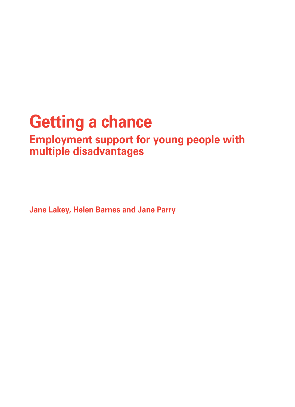# **Getting a chance**

### **Employment support for young people with multiple disadvantages**

**Jane Lakey, Helen Barnes and Jane Parry**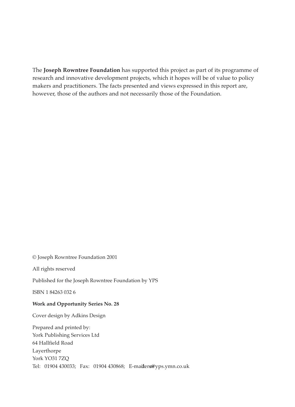The **Joseph Rowntree Foundation** has supported this project as part of its programme of research and innovative development projects, which it hopes will be of value to policy makers and practitioners. The facts presented and views expressed in this report are, however, those of the authors and not necessarily those of the Foundation.

© Joseph Rowntree Foundation 2001

All rights reserved

Published for the Joseph Rowntree Foundation by YPS

ISBN 1 84263 032 6

#### **Work and Opportunity Series No. 28**

Cover design by Adkins Design

Prepared and printed by: York Publishing Services Ltd 64 Hallfield Road Layerthorpe York YO31 7ZQ Tel: 01904 430033; Fax: 01904 430868; E-mailers@yps.ymn.co.uk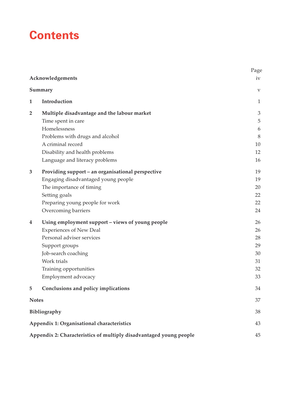# **Contents**

|              | Acknowledgements                                                   | Page<br>iv                |
|--------------|--------------------------------------------------------------------|---------------------------|
|              | Summary                                                            | $\ensuremath{\mathbf{V}}$ |
| 1            | Introduction                                                       | 1                         |
|              |                                                                    |                           |
| 2            | Multiple disadvantage and the labour market                        | $\mathfrak{Z}$            |
|              | Time spent in care                                                 | 5                         |
|              | Homelessness                                                       | 6<br>$8\phantom{1}$       |
|              | Problems with drugs and alcohol<br>A criminal record               | 10                        |
|              | Disability and health problems                                     | 12                        |
|              | Language and literacy problems                                     | 16                        |
|              |                                                                    |                           |
| 3            | Providing support - an organisational perspective                  | 19                        |
|              | Engaging disadvantaged young people                                | 19                        |
|              | The importance of timing                                           | 20                        |
|              | Setting goals                                                      | 22                        |
|              | Preparing young people for work                                    | 22                        |
|              | Overcoming barriers                                                | 24                        |
| 4            | Using employment support - views of young people                   | 26                        |
|              | <b>Experiences of New Deal</b>                                     | 26                        |
|              | Personal adviser services                                          | 28                        |
|              | Support groups                                                     | 29                        |
|              | Job-search coaching                                                | 30                        |
|              | Work trials                                                        | 31                        |
|              | Training opportunities                                             | 32                        |
|              | Employment advocacy                                                | 33                        |
| 5            | Conclusions and policy implications                                | 34                        |
| <b>Notes</b> |                                                                    | 37                        |
|              | Bibliography                                                       | 38                        |
|              | Appendix 1: Organisational characteristics                         | 43                        |
|              | Appendix 2: Characteristics of multiply disadvantaged young people | 45                        |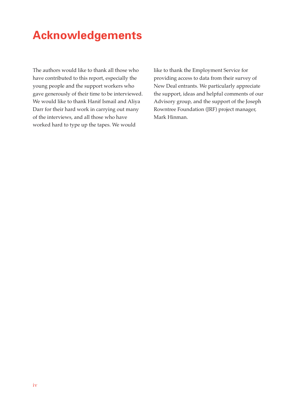# **Acknowledgements**

The authors would like to thank all those who have contributed to this report, especially the young people and the support workers who gave generously of their time to be interviewed. We would like to thank Hanif Ismail and Aliya Darr for their hard work in carrying out many of the interviews, and all those who have worked hard to type up the tapes. We would

like to thank the Employment Service for providing access to data from their survey of New Deal entrants. We particularly appreciate the support, ideas and helpful comments of our Advisory group, and the support of the Joseph Rowntree Foundation (JRF) project manager, Mark Hinman.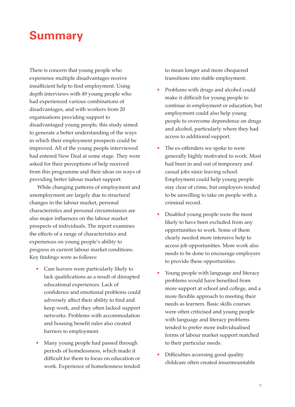### **Summary**

There is concern that young people who experience multiple disadvantages receive insufficient help to find employment. Using depth interviews with 49 young people who had experienced various combinations of disadvantages, and with workers from 20 organisations providing support to disadvantaged young people, this study aimed to generate a better understanding of the ways in which their employment prospects could be improved. All of the young people interviewed had entered New Deal at some stage. They were asked for their perceptions of help received from this programme and their ideas on ways of providing better labour market support.

While changing patterns of employment and unemployment are largely due to structural changes in the labour market, personal characteristics and personal circumstances are also major influences on the labour market prospects of individuals. The report examines the effects of a range of characteristics and experiences on young people's ability to progress in current labour market conditions. Key findings were as follows:

- Care leavers were particularly likely to lack qualifications as a result of disrupted educational experiences. Lack of confidence and emotional problems could adversely affect their ability to find and keep work, and they often lacked support networks. Problems with accommodation and housing benefit rules also created barriers to employment.
- Many young people had passed through periods of homelessness, which made it difficult for them to focus on education or work. Experience of homelessness tended

to mean longer and more chequered transitions into stable employment.

- Problems with drugs and alcohol could make it difficult for young people to continue in employment or education, but employment could also help young people to overcome dependence on drugs and alcohol, particularly where they had access to additional support.
- The ex-offenders we spoke to were generally highly motivated to work. Most had been in and out of temporary and casual jobs since leaving school. Employment could help young people stay clear of crime, but employers tended to be unwilling to take on people with a criminal record.
- Disabled young people were the most likely to have been excluded from any opportunities to work. Some of them clearly needed more intensive help to access job opportunities. More work also needs to be done to encourage employers to provide these opportunities.
- Young people with language and literacy problems would have benefited from more support at school and college, and a more flexible approach to meeting their needs as learners. Basic skills courses were often criticised and young people with language and literacy problems tended to prefer more individualised forms of labour market support matched to their particular needs.
- Difficulties accessing good quality childcare often created insurmountable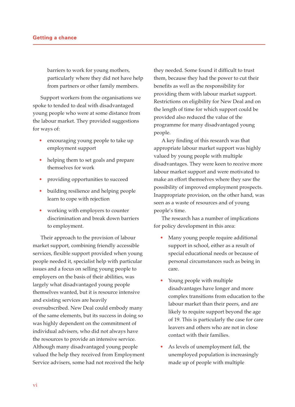barriers to work for young mothers, particularly where they did not have help from partners or other family members.

Support workers from the organisations we spoke to tended to deal with disadvantaged young people who were at some distance from the labour market. They provided suggestions for ways of:

- encouraging young people to take up employment support
- helping them to set goals and prepare themselves for work
- providing opportunities to succeed
- building resilience and helping people learn to cope with rejection
- working with employers to counter discrimination and break down barriers to employment.

Their approach to the provision of labour market support, combining friendly accessible services, flexible support provided when young people needed it, specialist help with particular issues and a focus on selling young people to employers on the basis of their abilities, was largely what disadvantaged young people themselves wanted, but it is resource intensive and existing services are heavily oversubscribed. New Deal could embody many of the same elements, but its success in doing so was highly dependent on the commitment of individual advisers, who did not always have the resources to provide an intensive service. Although many disadvantaged young people valued the help they received from Employment Service advisers, some had not received the help

they needed. Some found it difficult to trust them, because they had the power to cut their benefits as well as the responsibility for providing them with labour market support. Restrictions on eligibility for New Deal and on the length of time for which support could be provided also reduced the value of the programme for many disadvantaged young people.

A key finding of this research was that appropriate labour market support was highly valued by young people with multiple disadvantages. They were keen to receive more labour market support and were motivated to make an effort themselves where they saw the possibility of improved employment prospects. Inappropriate provision, on the other hand, was seen as a waste of resources and of young people's time.

The research has a number of implications for policy development in this area:

- Many young people require additional support in school, either as a result of special educational needs or because of personal circumstances such as being in care.
- Young people with multiple disadvantages have longer and more complex transitions from education to the labour market than their peers, and are likely to require support beyond the age of 19. This is particularly the case for care leavers and others who are not in close contact with their families.
- As levels of unemployment fall, the unemployed population is increasingly made up of people with multiple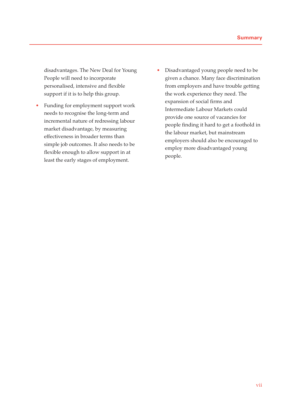disadvantages. The New Deal for Young People will need to incorporate personalised, intensive and flexible support if it is to help this group.

- Funding for employment support work needs to recognise the long-term and incremental nature of redressing labour market disadvantage, by measuring effectiveness in broader terms than simple job outcomes. It also needs to be flexible enough to allow support in at least the early stages of employment.
- Disadvantaged young people need to be given a chance. Many face discrimination from employers and have trouble getting the work experience they need. The expansion of social firms and Intermediate Labour Markets could provide one source of vacancies for people finding it hard to get a foothold in the labour market, but mainstream employers should also be encouraged to employ more disadvantaged young people.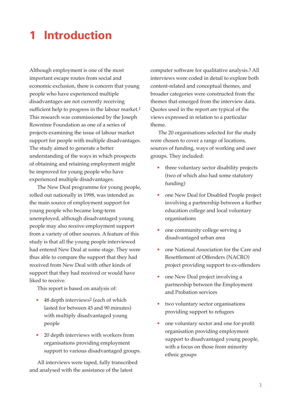# **1 Introduction**

Although employment is one of the most important escape routes from social and economic exclusion, there is concern that young people who have experienced multiple disadvantages are not currently receiving sufficient help to progress in the labour market.<sup>1</sup> This research was commissioned by the Joseph Rowntree Foundation as one of a series of projects examining the issue of labour market support for people with multiple disadvantages. The study aimed to generate a better understanding of the ways in which prospects of obtaining and retaining employment might be improved for young people who have experienced multiple disadvantages.

The New Deal programme for young people, rolled out nationally in 1998, was intended as the main source of employment support for young people who became long-term unemployed, although disadvantaged young people may also receive employment support from a variety of other sources. A feature of this study is that all the young people interviewed had entered New Deal at some stage. They were thus able to compare the support that they had received from New Deal with other kinds of support that they had received or would have liked to receive.

This report is based on analysis of:

- 48 depth interviews2 (each of which lasted for between 45 and 90 minutes) with multiply disadvantaged young people
- 20 depth interviews with workers from organisations providing employment support to various disadvantaged groups.

All interviews were taped, fully transcribed and analysed with the assistance of the latest

computer software for qualitative analysis.3 All interviews were coded in detail to explore both content-related and conceptual themes, and broader categories were constructed from the themes that emerged from the interview data. Quotes used in the report are typical of the views expressed in relation to a particular theme.

The 20 organisations selected for the study were chosen to cover a range of locations, sources of funding, ways of working and user groups. They included:

- three voluntary sector disability projects (two of which also had some statutory funding)
- one New Deal for Disabled People project involving a partnership between a further education college and local voluntary organisations
- one community college serving a disadvantaged urban area
- one National Association for the Care and Resettlement of Offenders (NACRO) project providing support to ex-offenders
- one New Deal project involving a partnership between the Employment and Probation services
- two voluntary sector organisations providing support to refugees
- one voluntary sector and one for-profit organisation providing employment support to disadvantaged young people, with a focus on those from minority ethnic groups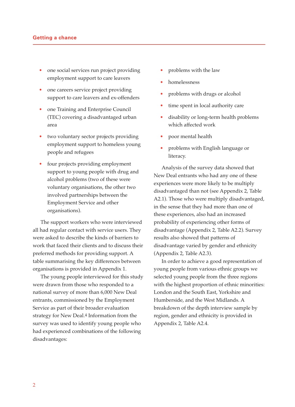#### **Getting a chance**

- one social services run project providing employment support to care leavers
- one careers service project providing support to care leavers and ex-offenders
- one Training and Enterprise Council (TEC) covering a disadvantaged urban area
- two voluntary sector projects providing employment support to homeless young people and refugees
- four projects providing employment support to young people with drug and alcohol problems (two of these were voluntary organisations, the other two involved partnerships between the Employment Service and other organisations).

The support workers who were interviewed all had regular contact with service users. They were asked to describe the kinds of barriers to work that faced their clients and to discuss their preferred methods for providing support. A table summarising the key differences between organisations is provided in Appendix 1.

The young people interviewed for this study were drawn from those who responded to a national survey of more than 6,000 New Deal entrants, commissioned by the Employment Service as part of their broader evaluation strategy for New Deal.4 Information from the survey was used to identify young people who had experienced combinations of the following disadvantages:

- problems with the law
- homelessness
- problems with drugs or alcohol
- time spent in local authority care
- disability or long-term health problems which affected work
- poor mental health
- problems with English language or literacy.

Analysis of the survey data showed that New Deal entrants who had any one of these experiences were more likely to be multiply disadvantaged than not (see Appendix 2, Table A2.1). Those who were multiply disadvantaged, in the sense that they had more than one of these experiences, also had an increased probability of experiencing other forms of disadvantage (Appendix 2, Table A2.2). Survey results also showed that patterns of disadvantage varied by gender and ethnicity (Appendix 2, Table A2.3).

In order to achieve a good representation of young people from various ethnic groups we selected young people from the three regions with the highest proportion of ethnic minorities: London and the South East, Yorkshire and Humberside, and the West Midlands. A breakdown of the depth interview sample by region, gender and ethnicity is provided in Appendix 2, Table A2.4.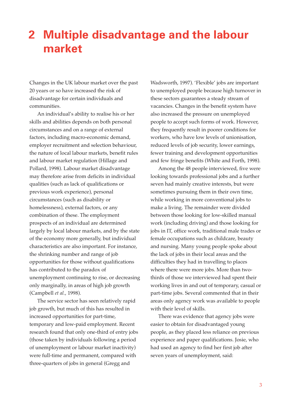### **2 Multiple disadvantage and the labour market**

Changes in the UK labour market over the past 20 years or so have increased the risk of disadvantage for certain individuals and communities.

An individual's ability to realise his or her skills and abilities depends on both personal circumstances and on a range of external factors, including macro-economic demand, employer recruitment and selection behaviour, the nature of local labour markets, benefit rules and labour market regulation (Hillage and Pollard, 1998). Labour market disadvantage may therefore arise from deficits in individual qualities (such as lack of qualifications or previous work experience), personal circumstances (such as disability or homelessness), external factors, or any combination of these. The employment prospects of an individual are determined largely by local labour markets, and by the state of the economy more generally, but individual characteristics are also important. For instance, the shrinking number and range of job opportunities for those without qualifications has contributed to the paradox of unemployment continuing to rise, or decreasing only marginally, in areas of high job growth (Campbell *et al.*, 1998).

The service sector has seen relatively rapid job growth, but much of this has resulted in increased opportunities for part-time, temporary and low-paid employment. Recent research found that only one-third of entry jobs (those taken by individuals following a period of unemployment or labour market inactivity) were full-time and permanent, compared with three-quarters of jobs in general (Gregg and

Wadsworth, 1997). 'Flexible' jobs are important to unemployed people because high turnover in these sectors guarantees a steady stream of vacancies. Changes in the benefit system have also increased the pressure on unemployed people to accept such forms of work. However, they frequently result in poorer conditions for workers, who have low levels of unionisation, reduced levels of job security, lower earnings, fewer training and development opportunities and few fringe benefits (White and Forth, 1998).

Among the 48 people interviewed, five were looking towards professional jobs and a further seven had mainly creative interests, but were sometimes pursuing them in their own time, while working in more conventional jobs to make a living. The remainder were divided between those looking for low-skilled manual work (including driving) and those looking for jobs in IT, office work, traditional male trades or female occupations such as childcare, beauty and nursing. Many young people spoke about the lack of jobs in their local areas and the difficulties they had in travelling to places where there were more jobs. More than twothirds of those we interviewed had spent their working lives in and out of temporary, casual or part-time jobs. Several commented that in their areas only agency work was available to people with their level of skills.

There was evidence that agency jobs were easier to obtain for disadvantaged young people, as they placed less reliance on previous experience and paper qualifications. Josie, who had used an agency to find her first job after seven years of unemployment, said: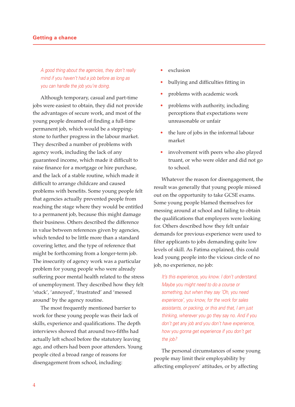#### **Getting a chance**

A good thing about the agencies, they don't really mind if you haven't had a job before as long as you can handle the job you're doing.

Although temporary, casual and part-time jobs were easiest to obtain, they did not provide the advantages of secure work, and most of the young people dreamed of finding a full-time permanent job, which would be a steppingstone to further progress in the labour market. They described a number of problems with agency work, including the lack of any guaranteed income, which made it difficult to raise finance for a mortgage or hire purchase, and the lack of a stable routine, which made it difficult to arrange childcare and caused problems with benefits. Some young people felt that agencies actually prevented people from reaching the stage where they would be entitled to a permanent job, because this might damage their business. Others described the difference in value between references given by agencies, which tended to be little more than a standard covering letter, and the type of reference that might be forthcoming from a longer-term job. The insecurity of agency work was a particular problem for young people who were already suffering poor mental health related to the stress of unemployment. They described how they felt 'stuck', 'annoyed', 'frustrated' and 'messed around' by the agency routine.

The most frequently mentioned barrier to work for these young people was their lack of skills, experience and qualifications. The depth interviews showed that around two-fifths had actually left school before the statutory leaving age, and others had been poor attenders. Young people cited a broad range of reasons for disengagement from school, including:

- exclusion
- bullying and difficulties fitting in
- problems with academic work
- problems with authority, including perceptions that expectations were unreasonable or unfair
- the lure of jobs in the informal labour market
- involvement with peers who also played truant, or who were older and did not go to school.

Whatever the reason for disengagement, the result was generally that young people missed out on the opportunity to take GCSE exams. Some young people blamed themselves for messing around at school and failing to obtain the qualifications that employers were looking for. Others described how they felt unfair demands for previous experience were used to filter applicants to jobs demanding quite low levels of skill. As Fatima explained, this could lead young people into the vicious circle of no job, no experience, no job:

It's this experience, you know. I don't understand. Maybe you might need to do a course or something, but when they say 'Oh, you need experience', you know, for the work for sales assistants, or packing, or this and that, I am just thinking, wherever you go they say no. And if you don't get any job and you don't have experience, how you gonna get experience if you don't get the job?

The personal circumstances of some young people may limit their employability by affecting employers' attitudes, or by affecting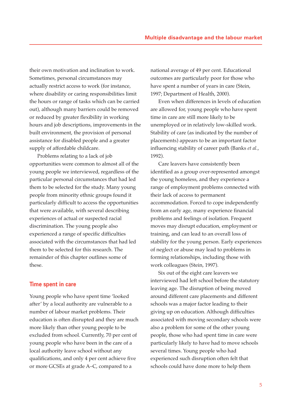their own motivation and inclination to work. Sometimes, personal circumstances may actually restrict access to work (for instance, where disability or caring responsibilities limit the hours or range of tasks which can be carried out), although many barriers could be removed or reduced by greater flexibility in working hours and job descriptions, improvements in the built environment, the provision of personal assistance for disabled people and a greater supply of affordable childcare.

Problems relating to a lack of job opportunities were common to almost all of the young people we interviewed, regardless of the particular personal circumstances that had led them to be selected for the study. Many young people from minority ethnic groups found it particularly difficult to access the opportunities that were available, with several describing experiences of actual or suspected racial discrimination. The young people also experienced a range of specific difficulties associated with the circumstances that had led them to be selected for this research. The remainder of this chapter outlines some of these.

#### **Time spent in care**

Young people who have spent time 'looked after' by a local authority are vulnerable to a number of labour market problems. Their education is often disrupted and they are much more likely than other young people to be excluded from school. Currently, 70 per cent of young people who have been in the care of a local authority leave school without any qualifications, and only 4 per cent achieve five or more GCSEs at grade A–C, compared to a

national average of 49 per cent. Educational outcomes are particularly poor for those who have spent a number of years in care (Stein, 1997; Department of Health, 2000).

Even when differences in levels of education are allowed for, young people who have spent time in care are still more likely to be unemployed or in relatively low-skilled work. Stability of care (as indicated by the number of placements) appears to be an important factor influencing stability of career path (Banks *et al.*, 1992).

Care leavers have consistently been identified as a group over-represented amongst the young homeless, and they experience a range of employment problems connected with their lack of access to permanent accommodation. Forced to cope independently from an early age, many experience financial problems and feelings of isolation. Frequent moves may disrupt education, employment or training, and can lead to an overall loss of stability for the young person. Early experiences of neglect or abuse may lead to problems in forming relationships, including those with work colleagues (Stein, 1997).

Six out of the eight care leavers we interviewed had left school before the statutory leaving age. The disruption of being moved around different care placements and different schools was a major factor leading to their giving up on education. Although difficulties associated with moving secondary schools were also a problem for some of the other young people, those who had spent time in care were particularly likely to have had to move schools several times. Young people who had experienced such disruption often felt that schools could have done more to help them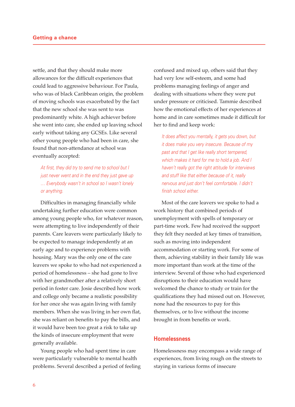settle, and that they should make more allowances for the difficult experiences that could lead to aggressive behaviour. For Paula, who was of black Caribbean origin, the problem of moving schools was exacerbated by the fact that the new school she was sent to was predominantly white. A high achiever before she went into care, she ended up leaving school early without taking any GCSEs. Like several other young people who had been in care, she found that non-attendance at school was eventually accepted:

At first, they did try to send me to school but I just never went and in the end they just gave up … Everybody wasn't in school so I wasn't lonely or anything.

Difficulties in managing financially while undertaking further education were common among young people who, for whatever reason, were attempting to live independently of their parents. Care leavers were particularly likely to be expected to manage independently at an early age and to experience problems with housing. Mary was the only one of the care leavers we spoke to who had not experienced a period of homelessness – she had gone to live with her grandmother after a relatively short period in foster care. Josie described how work and college only became a realistic possibility for her once she was again living with family members. When she was living in her own flat, she was reliant on benefits to pay the bills, and it would have been too great a risk to take up the kinds of insecure employment that were generally available.

Young people who had spent time in care were particularly vulnerable to mental health problems. Several described a period of feeling confused and mixed up, others said that they had very low self-esteem, and some had problems managing feelings of anger and dealing with situations where they were put under pressure or criticised. Tammie described how the emotional effects of her experiences at home and in care sometimes made it difficult for her to find and keep work:

It does affect you mentally, it gets you down, but it does make you very insecure. Because of my past and that I get like really short tempered, which makes it hard for me to hold a job. And I haven't really got the right attitude for interviews and stuff like that either because of it, really nervous and just don't feel comfortable. I didn't finish school either.

Most of the care leavers we spoke to had a work history that combined periods of unemployment with spells of temporary or part-time work. Few had received the support they felt they needed at key times of transition, such as moving into independent accommodation or starting work. For some of them, achieving stability in their family life was more important than work at the time of the interview. Several of those who had experienced disruptions to their education would have welcomed the chance to study or train for the qualifications they had missed out on. However, none had the resources to pay for this themselves, or to live without the income brought in from benefits or work.

#### **Homelessness**

Homelessness may encompass a wide range of experiences, from living rough on the streets to staying in various forms of insecure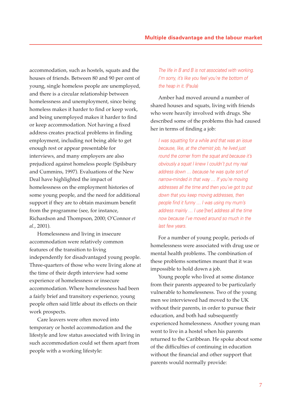accommodation, such as hostels, squats and the houses of friends. Between 80 and 90 per cent of young, single homeless people are unemployed, and there is a circular relationship between homelessness and unemployment, since being homeless makes it harder to find or keep work, and being unemployed makes it harder to find or keep accommodation. Not having a fixed address creates practical problems in finding employment, including not being able to get enough rest or appear presentable for interviews, and many employers are also prejudiced against homeless people (Spilsbury and Cummins, 1997). Evaluations of the New Deal have highlighted the impact of homelessness on the employment histories of some young people, and the need for additional support if they are to obtain maximum benefit from the programme (see, for instance, Richardson and Thompson, 2000; O'Connor *et al.*, 2001).

Homelessness and living in insecure accommodation were relatively common features of the transition to living independently for disadvantaged young people. Three-quarters of those who were living alone at the time of their depth interview had some experience of homelessness or insecure accommodation. Where homelessness had been a fairly brief and transitory experience, young people often said little about its effects on their work prospects.

Care leavers were often moved into temporary or hostel accommodation and the lifestyle and low status associated with living in such accommodation could set them apart from people with a working lifestyle:

The life in B and B is not associated with working. I'm sorry, it's like you feel you're the bottom of the heap in it. (Paula)

Amber had moved around a number of shared houses and squats, living with friends who were heavily involved with drugs. She described some of the problems this had caused her in terms of finding a job:

I was squatting for a while and that was an issue because, like, at the chemist job, he lived just round the corner from the squat and because it's obviously a squat I knew I couldn't put my real address down … because he was quite sort of narrow-minded in that way … If you're moving addresses all the time and then you've got to put down that you keep moving addresses, then people find it funny … I was using my mum's address mainly … I use [her] address all the time now because I've moved around so much in the last few years.

For a number of young people, periods of homelessness were associated with drug use or mental health problems. The combination of these problems sometimes meant that it was impossible to hold down a job.

Young people who lived at some distance from their parents appeared to be particularly vulnerable to homelessness. Two of the young men we interviewed had moved to the UK without their parents, in order to pursue their education, and both had subsequently experienced homelessness. Another young man went to live in a hostel when his parents returned to the Caribbean. He spoke about some of the difficulties of continuing in education without the financial and other support that parents would normally provide: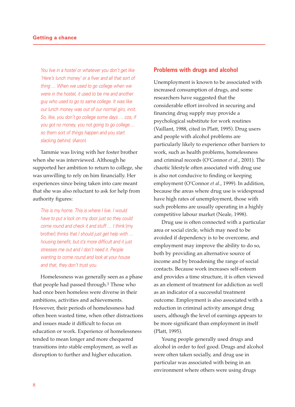You live in a hostel or whatever you don't get like 'Here's lunch money' or a fiver and all that sort of thing … When we used to go college when we were in the hostel, it used to be me and another guy who used to go to same college. It was like our lunch money was out of our normal giro, innit. So, like, you don't go college some days … cos, if you got no money, you not going to go college … so them sort of things happen and you start slacking behind. (Aaron)

Tammie was living with her foster brother when she was interviewed. Although he supported her ambition to return to college, she was unwilling to rely on him financially. Her experiences since being taken into care meant that she was also reluctant to ask for help from authority figures:

This is my home. This is where I live. I would have to put a lock on my door just so they could come round and check it and stuff … I think [my brother] thinks that I should just get help with … housing benefit, but it's more difficult and it just stresses me out and I don't need it. People wanting to come round and look at your house and that, they don't trust you.

Homelessness was generally seen as a phase that people had passed through.1 Those who had once been homeless were diverse in their ambitions, activities and achievements. However, their periods of homelessness had often been wasted time, when other distractions and issues made it difficult to focus on education or work. Experience of homelessness tended to mean longer and more chequered transitions into stable employment, as well as disruption to further and higher education.

#### **Problems with drugs and alcohol**

Unemployment is known to be associated with increased consumption of drugs, and some researchers have suggested that the considerable effort involved in securing and financing drug supply may provide a psychological substitute for work routines (Vaillant, 1988, cited in Platt, 1995). Drug users and people with alcohol problems are particularly likely to experience other barriers to work, such as health problems, homelessness and criminal records (O'Connor *et al.*, 2001). The chaotic lifestyle often associated with drug use is also not conducive to finding or keeping employment (O'Connor *et al.*, 1999). In addition, because the areas where drug use is widespread have high rates of unemployment, those with such problems are usually operating in a highly competitive labour market (Neale, 1998).

Drug use is often connected with a particular area or social circle, which may need to be avoided if dependency is to be overcome, and employment may improve the ability to do so, both by providing an alternative source of income and by broadening the range of social contacts. Because work increases self-esteem and provides a time structure, it is often viewed as an element of treatment for addiction as well as an indicator of a successful treatment outcome. Employment is also associated with a reduction in criminal activity amongst drug users, although the level of earnings appears to be more significant than employment in itself (Platt, 1995).

Young people generally used drugs and alcohol in order to feel good. Drugs and alcohol were often taken socially, and drug use in particular was associated with being in an environment where others were using drugs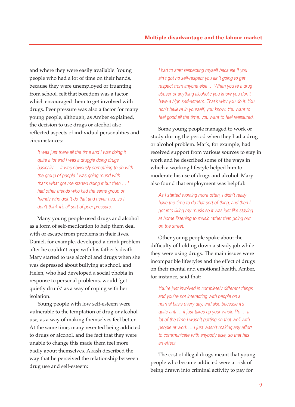and where they were easily available. Young people who had a lot of time on their hands, because they were unemployed or truanting from school, felt that boredom was a factor which encouraged them to get involved with drugs. Peer pressure was also a factor for many young people, although, as Amber explained, the decision to use drugs or alcohol also reflected aspects of individual personalities and circumstances:

It was just there all the time and I was doing it quite a lot and I was a druggie doing drugs basically … it was obviously something to do with the group of people I was going round with … that's what got me started doing it but then … I had other friends who had the same group of friends who didn't do that and never had, so I don't think it's all sort of peer pressure.

Many young people used drugs and alcohol as a form of self-medication to help them deal with or escape from problems in their lives. Daniel, for example, developed a drink problem after he couldn't cope with his father's death. Mary started to use alcohol and drugs when she was depressed about bullying at school, and Helen, who had developed a social phobia in response to personal problems, would 'get quietly drunk' as a way of coping with her isolation.

Young people with low self-esteem were vulnerable to the temptation of drug or alcohol use, as a way of making themselves feel better. At the same time, many resented being addicted to drugs or alcohol, and the fact that they were unable to change this made them feel more badly about themselves. Akash described the way that he perceived the relationship between drug use and self-esteem:

I had to start respecting myself because if you ain't got no self-respect you ain't going to get respect from anyone else … When you're a drug abuser or anything alcoholic you know you don't have a high self-esteem. That's why you do it. You don't believe in yourself, you know. You want to feel good all the time, you want to feel reassured.

Some young people managed to work or study during the period when they had a drug or alcohol problem. Mark, for example, had received support from various sources to stay in work and he described some of the ways in which a working lifestyle helped him to moderate his use of drugs and alcohol. Mary also found that employment was helpful:

As I started working more often, I didn't really have the time to do that sort of thing, and then I got into liking my music so it was just like staying at home listening to music rather than going out on the street.

Other young people spoke about the difficulty of holding down a steady job while they were using drugs. The main issues were incompatible lifestyles and the effect of drugs on their mental and emotional health. Amber, for instance, said that:

You're just involved in completely different things and you're not interacting with people on a normal basis every day, and also because it's quite anti … it just takes up your whole life … a lot of the time I wasn't getting on that well with people at work … I just wasn't making any effort to communicate with anybody else, so that has an effect.

The cost of illegal drugs meant that young people who became addicted were at risk of being drawn into criminal activity to pay for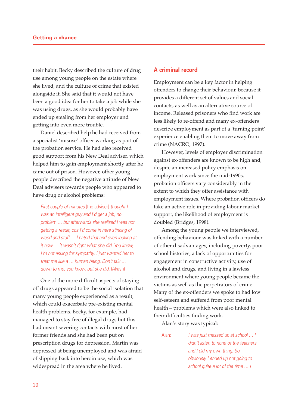their habit. Becky described the culture of drug use among young people on the estate where she lived, and the culture of crime that existed alongside it. She said that it would not have been a good idea for her to take a job while she was using drugs, as she would probably have ended up stealing from her employer and getting into even more trouble.

Daniel described help he had received from a specialist 'misuse' officer working as part of the probation service. He had also received good support from his New Deal adviser, which helped him to gain employment shortly after he came out of prison. However, other young people described the negative attitude of New Deal advisers towards people who appeared to have drug or alcohol problems:

First couple of minutes [the adviser] thought I was an intelligent guy and I'd get a job, no problem … but afterwards she realised I was not getting a result, cos I'd come in here stinking of weed and stuff … I hated that and even looking at it now … it wasn't right what she did. You know, I'm not asking for sympathy. I just wanted her to treat me like a … human being. Don't talk … down to me, you know, but she did. (Akash)

One of the more difficult aspects of staying off drugs appeared to be the social isolation that many young people experienced as a result, which could exacerbate pre-existing mental health problems. Becky, for example, had managed to stay free of illegal drugs but this had meant severing contacts with most of her former friends and she had been put on prescription drugs for depression. Martin was depressed at being unemployed and was afraid of slipping back into heroin use, which was widespread in the area where he lived.

#### **A criminal record**

Employment can be a key factor in helping offenders to change their behaviour, because it provides a different set of values and social contacts, as well as an alternative source of income. Released prisoners who find work are less likely to re-offend and many ex-offenders describe employment as part of a 'turning point' experience enabling them to move away from crime (NACRO, 1997).

However, levels of employer discrimination against ex-offenders are known to be high and, despite an increased policy emphasis on employment work since the mid-1990s, probation officers vary considerably in the extent to which they offer assistance with employment issues. Where probation officers do take an active role in providing labour market support, the likelihood of employment is doubled (Bridges, 1998).

Among the young people we interviewed, offending behaviour was linked with a number of other disadvantages, including poverty, poor school histories, a lack of opportunities for engagement in constructive activity, use of alcohol and drugs, and living in a lawless environment where young people became the victims as well as the perpetrators of crime. Many of the ex-offenders we spoke to had low self-esteem and suffered from poor mental health – problems which were also linked to their difficulties finding work.

Alan's story was typical:

Alan: I was just messed up at school ... I didn't listen to none of the teachers and I did my own thing. So obviously I ended up not going to school quite a lot of the time ... I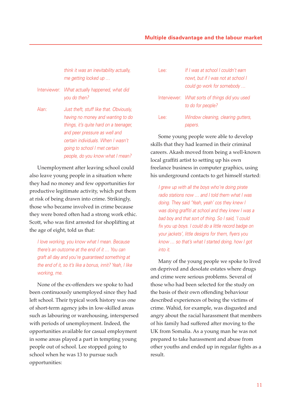#### **Multiple disadvantage and the labour market**

think it was an inevitability actually, me getting locked up …

- Interviewer: What actually happened, what did you do then?
- Alan: Just theft, stuff like that. Obviously, having no money and wanting to do things, it's quite hard on a teenager, and peer pressure as well and certain individuals. When I wasn't going to school I met certain people, do you know what I mean?

Unemployment after leaving school could also leave young people in a situation where they had no money and few opportunities for productive legitimate activity, which put them at risk of being drawn into crime. Strikingly, those who became involved in crime because they were bored often had a strong work ethic. Scott, who was first arrested for shoplifting at the age of eight, told us that:

I love working, you know what I mean. Because there's an outcome at the end of it … You can graft all day and you're guaranteed something at the end of it, so it's like a bonus, innit? Yeah, I like working, me.

None of the ex-offenders we spoke to had been continuously unemployed since they had left school. Their typical work history was one of short-term agency jobs in low-skilled areas such as labouring or warehousing, interspersed with periods of unemployment. Indeed, the opportunities available for casual employment in some areas played a part in tempting young people out of school. Lee stopped going to school when he was 13 to pursue such opportunities:

| ee:   | If I was at school Lcouldn't earn<br>nowt, but if I was not at school I<br>could go work for somebody |
|-------|-------------------------------------------------------------------------------------------------------|
|       | Interviewer: What sorts of things did you used<br>to do for people?                                   |
| l ee: | Window cleaning, clearing gutters,<br>papers.                                                         |

Some young people were able to develop skills that they had learned in their criminal careers. Akash moved from being a well-known local graffiti artist to setting up his own freelance business in computer graphics, using his underground contacts to get himself started:

I grew up with all the boys who're doing pirate radio stations now … and I told them what I was doing. They said 'Yeah, yeah' cos they knew I was doing graffiti at school and they knew I was a bad boy and that sort of thing. So I said, 'I could fix you up boys. I could do a little record badge on your jackets', little designs for them, flyers you know … so that's what I started doing, how I got into it.

Many of the young people we spoke to lived on deprived and desolate estates where drugs and crime were serious problems. Several of those who had been selected for the study on the basis of their own offending behaviour described experiences of being the victims of crime. Wahid, for example, was disgusted and angry about the racial harassment that members of his family had suffered after moving to the UK from Somalia. As a young man he was not prepared to take harassment and abuse from other youths and ended up in regular fights as a result.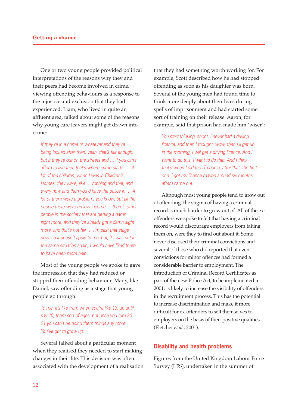One or two young people provided political interpretations of the reasons why they and their peers had become involved in crime, viewing offending behaviours as a response to the injustice and exclusion that they had experienced. Liam, who lived in quite an affluent area, talked about some of the reasons why young care leavers might get drawn into crime:

If they're in a home or whatever and they're being looked after then, yeah, that's fair enough, but if they're out on the streets and … if you can't afford to live then that's where crime starts. … A lot of the children, when I was in Children's Homes, they were, like … robbing and that, and every now and then you'd have the police in … A lot of them were a problem, you know, but all the people there were on low income … there's other people in the society that are getting a damn sight more, and they've already got a damn sight more, and that's not fair … I'm past that stage now, so it doesn't apply to me, but, if I was put in the same situation again, I would have liked there to have been more help.

Most of the young people we spoke to gave the impression that they had reduced or stopped their offending behaviour. Many, like Daniel, saw offending as a stage that young people go through:

To me, it's like from when you're like 13, up until say 20, them sort of ages, but once you turn 20, 21 you can't be doing them things any more. You've got to grow up.

Several talked about a particular moment when they realised they needed to start making changes in their life. This decision was often associated with the development of a realisation

that they had something worth working for. For example, Scott described how he had stopped offending as soon as his daughter was born. Several of the young men had found time to think more deeply about their lives during spells of imprisonment and had started some sort of training on their release. Aaron, for example, said that prison had made him 'wiser':

You start thinking, shoot, I never had a driving licence, and then I thought, wow, then I'll get up in the morning, I will get a driving licence. And I want to do this, I want to do that. And I think that's when I did the IT course, after that, the first one. I got my licence maybe around six months after I came out.

Although most young people tend to grow out of offending, the stigma of having a criminal record is much harder to grow out of. All of the exoffenders we spoke to felt that having a criminal record would discourage employers from taking them on, were they to find out about it. Some never disclosed their criminal convictions and several of those who did reported that even convictions for minor offences had formed a considerable barrier to employment. The introduction of Criminal Record Certificates as part of the new Police Act, to be implemented in 2001, is likely to increase the visibility of offenders in the recruitment process. This has the potential to increase discrimination and make it more difficult for ex-offenders to sell themselves to employers on the basis of their positive qualities (Fletcher *et al.*, 2001).

#### **Disability and health problems**

Figures from the United Kingdom Labour Force Survey (LFS), undertaken in the summer of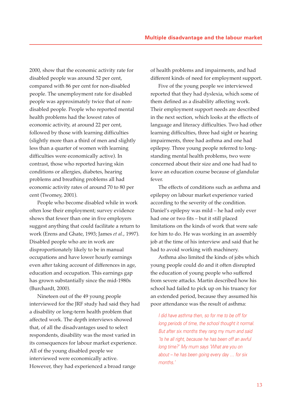2000, show that the economic activity rate for disabled people was around 52 per cent, compared with 86 per cent for non-disabled people. The unemployment rate for disabled people was approximately twice that of nondisabled people. People who reported mental health problems had the lowest rates of economic activity, at around 22 per cent, followed by those with learning difficulties (slightly more than a third of men and slightly less than a quarter of women with learning difficulties were economically active). In contrast, those who reported having skin conditions or allergies, diabetes, hearing problems and breathing problems all had economic activity rates of around 70 to 80 per cent (Twomey, 2001).

People who become disabled while in work often lose their employment; survey evidence shows that fewer than one in five employers suggest anything that could facilitate a return to work (Erens and Ghate, 1993; James *et al.*, 1997). Disabled people who are in work are disproportionately likely to be in manual occupations and have lower hourly earnings even after taking account of differences in age, education and occupation. This earnings gap has grown substantially since the mid-1980s (Burchardt, 2000).

Nineteen out of the 49 young people interviewed for the JRF study had said they had a disability or long-term health problem that affected work. The depth interviews showed that, of all the disadvantages used to select respondents, disability was the most varied in its consequences for labour market experience. All of the young disabled people we interviewed were economically active. However, they had experienced a broad range

of health problems and impairments, and had different kinds of need for employment support.

Five of the young people we interviewed reported that they had dyslexia, which some of them defined as a disability affecting work. Their employment support needs are described in the next section, which looks at the effects of language and literacy difficulties. Two had other learning difficulties, three had sight or hearing impairments, three had asthma and one had epilepsy. Three young people referred to longstanding mental health problems, two were concerned about their size and one had had to leave an education course because of glandular fever.

The effects of conditions such as asthma and epilepsy on labour market experience varied according to the severity of the condition. Daniel's epilepsy was mild – he had only ever had one or two fits – but it still placed limitations on the kinds of work that were safe for him to do. He was working in an assembly job at the time of his interview and said that he had to avoid working with machinery.

Asthma also limited the kinds of jobs which young people could do and it often disrupted the education of young people who suffered from severe attacks. Martin described how his school had failed to pick up on his truancy for an extended period, because they assumed his poor attendance was the result of asthma:

I did have asthma then, so for me to be off for long periods of time, the school thought it normal. But after six months they rang my mum and said 'Is he all right, because he has been off an awful long time?' My mum says 'What are you on about – he has been going every day … for six months.'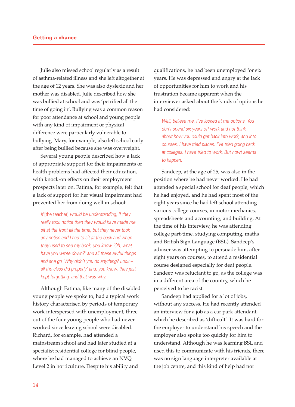Julie also missed school regularly as a result of asthma-related illness and she left altogether at the age of 12 years. She was also dyslexic and her mother was disabled. Julie described how she was bullied at school and was 'petrified all the time of going in'. Bullying was a common reason for poor attendance at school and young people with any kind of impairment or physical difference were particularly vulnerable to bullying. Mary, for example, also left school early after being bullied because she was overweight.

Several young people described how a lack of appropriate support for their impairments or health problems had affected their education, with knock-on effects on their employment prospects later on. Fatima, for example, felt that a lack of support for her visual impairment had prevented her from doing well in school:

If [the teacher] would be understanding, if they really took notice then they would have made me sit at the front all the time, but they never took any notice and I had to sit at the back and when they used to see my book, you know 'Oh, what have you wrote down?' and all these awful things and she go 'Why didn't you do anything? Look – all the class did properly' and, you know, they just kept forgetting, and that was why.

Although Fatima, like many of the disabled young people we spoke to, had a typical work history characterised by periods of temporary work interspersed with unemployment, three out of the four young people who had never worked since leaving school were disabled. Richard, for example, had attended a mainstream school and had later studied at a specialist residential college for blind people, where he had managed to achieve an NVQ Level 2 in horticulture. Despite his ability and

qualifications, he had been unemployed for six years. He was depressed and angry at the lack of opportunities for him to work and his frustration became apparent when the interviewer asked about the kinds of options he had considered:

Well, believe me, I've looked at me options. You don't spend six years off work and not think about how you could get back into work, and into courses. I have tried places. I've tried going back at colleges. I have tried to work. But nowt seems to happen.

Sandeep, at the age of 25, was also in the position where he had never worked. He had attended a special school for deaf people, which he had enjoyed, and he had spent most of the eight years since he had left school attending various college courses, in motor mechanics, spreadsheets and accounting, and building. At the time of his interview, he was attending college part-time, studying computing, maths and British Sign Language (BSL). Sandeep's adviser was attempting to persuade him, after eight years on courses, to attend a residential course designed especially for deaf people. Sandeep was reluctant to go, as the college was in a different area of the country, which he perceived to be racist.

Sandeep had applied for a lot of jobs, without any success. He had recently attended an interview for a job as a car park attendant, which he described as 'difficult'. It was hard for the employer to understand his speech and the employer also spoke too quickly for him to understand. Although he was learning BSL and used this to communicate with his friends, there was no sign language interpreter available at the job centre, and this kind of help had not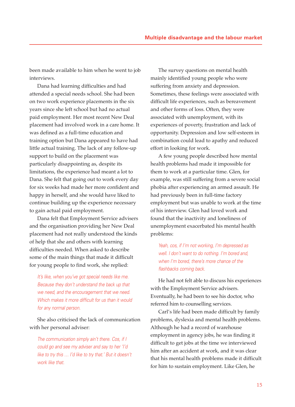been made available to him when he went to job interviews.

Dana had learning difficulties and had attended a special needs school. She had been on two work experience placements in the six years since she left school but had no actual paid employment. Her most recent New Deal placement had involved work in a care home. It was defined as a full-time education and training option but Dana appeared to have had little actual training. The lack of any follow-up support to build on the placement was particularly disappointing as, despite its limitations, the experience had meant a lot to Dana. She felt that going out to work every day for six weeks had made her more confident and happy in herself, and she would have liked to continue building up the experience necessary to gain actual paid employment.

Dana felt that Employment Service advisers and the organisation providing her New Deal placement had not really understood the kinds of help that she and others with learning difficulties needed. When asked to describe some of the main things that made it difficult for young people to find work, she replied:

It's like, when you've got special needs like me. Because they don't understand the back up that we need, and the encouragement that we need. Which makes it more difficult for us than it would for any normal person.

She also criticised the lack of communication with her personal adviser:

The communication simply ain't there. Cos, if I could go and see my adviser and say to her 'I'd like to try this … I'd like to try that.' But it doesn't work like that.

The survey questions on mental health mainly identified young people who were suffering from anxiety and depression. Sometimes, these feelings were associated with difficult life experiences, such as bereavement and other forms of loss. Often, they were associated with unemployment, with its experiences of poverty, frustration and lack of opportunity. Depression and low self-esteem in combination could lead to apathy and reduced effort in looking for work.

A few young people described how mental health problems had made it impossible for them to work at a particular time. Glen, for example, was still suffering from a severe social phobia after experiencing an armed assault. He had previously been in full-time factory employment but was unable to work at the time of his interview. Glen had loved work and found that the inactivity and loneliness of unemployment exacerbated his mental health problems:

Yeah, cos, if I'm not working, I'm depressed as well. I don't want to do nothing. I'm bored and, when I'm bored, there's more chance of the flashbacks coming back.

He had not felt able to discuss his experiences with the Employment Service advisers. Eventually, he had been to see his doctor, who referred him to counselling services.

Carl's life had been made difficult by family problems, dyslexia and mental health problems. Although he had a record of warehouse employment in agency jobs, he was finding it difficult to get jobs at the time we interviewed him after an accident at work, and it was clear that his mental health problems made it difficult for him to sustain employment. Like Glen, he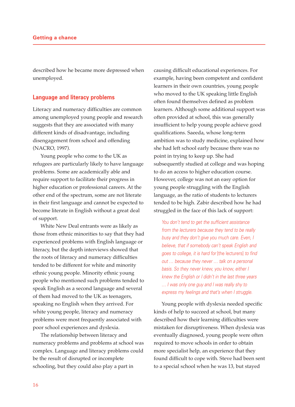described how he became more depressed when unemployed.

#### **Language and literacy problems**

Literacy and numeracy difficulties are common among unemployed young people and research suggests that they are associated with many different kinds of disadvantage, including disengagement from school and offending (NACRO, 1997).

Young people who come to the UK as refugees are particularly likely to have language problems. Some are academically able and require support to facilitate their progress in higher education or professional careers. At the other end of the spectrum, some are not literate in their first language and cannot be expected to become literate in English without a great deal of support.

White New Deal entrants were as likely as those from ethnic minorities to say that they had experienced problems with English language or literacy, but the depth interviews showed that the roots of literacy and numeracy difficulties tended to be different for white and minority ethnic young people. Minority ethnic young people who mentioned such problems tended to speak English as a second language and several of them had moved to the UK as teenagers, speaking no English when they arrived. For white young people, literacy and numeracy problems were most frequently associated with poor school experiences and dyslexia.

The relationship between literacy and numeracy problems and problems at school was complex. Language and literacy problems could be the result of disrupted or incomplete schooling, but they could also play a part in

causing difficult educational experiences. For example, having been competent and confident learners in their own countries, young people who moved to the UK speaking little English often found themselves defined as problem learners. Although some additional support was often provided at school, this was generally insufficient to help young people achieve good qualifications. Saeeda, whose long-term ambition was to study medicine, explained how she had left school early because there was no point in trying to keep up. She had subsequently studied at college and was hoping to do an access to higher education course. However, college was not an easy option for young people struggling with the English language, as the ratio of students to lecturers tended to be high. Zabir described how he had struggled in the face of this lack of support:

You don't tend to get the sufficient assistance from the lecturers because they tend to be really busy and they don't give you much care. Even, I believe, that if somebody can't speak English and goes to college, it is hard for [the lecturers] to find out … because they never … talk on a personal basis. So they never knew, you know, either I knew the English or I didn't in the last three years … I was only one guy and I was really shy to express my feelings and that's when I struggle.

Young people with dyslexia needed specific kinds of help to succeed at school, but many described how their learning difficulties were mistaken for disruptiveness. When dyslexia was eventually diagnosed, young people were often required to move schools in order to obtain more specialist help, an experience that they found difficult to cope with. Steve had been sent to a special school when he was 13, but stayed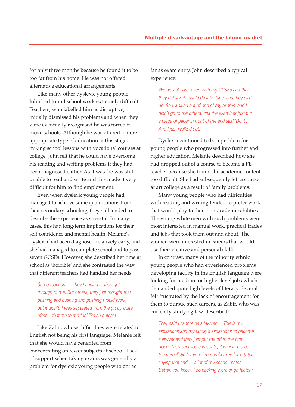for only three months because he found it to be too far from his home. He was not offered alternative educational arrangements.

Like many other dyslexic young people, John had found school work extremely difficult. Teachers, who labelled him as disruptive, initially dismissed his problems and when they were eventually recognised he was forced to move schools. Although he was offered a more appropriate type of education at this stage, mixing school lessons with vocational courses at college, John felt that he could have overcome his reading and writing problems if they had been diagnosed earlier. As it was, he was still unable to read and write and this made it very difficult for him to find employment.

Even when dyslexic young people had managed to achieve some qualifications from their secondary schooling, they still tended to describe the experience as stressful. In many cases, this had long-term implications for their self-confidence and mental health. Melanie's dyslexia had been diagnosed relatively early, and she had managed to complete school and to pass seven GCSEs. However, she described her time at school as 'horrible' and she contrasted the way that different teachers had handled her needs:

Some teachers … they handled it, they got through to me. But others, they just thought that pushing and pushing and pushing would work, but it didn't. I was separated from the group quite often – that made me feel like an outcast.

Like Zabir, whose difficulties were related to English not being his first language, Melanie felt that she would have benefited from concentrating on fewer subjects at school. Lack of support when taking exams was generally a problem for dyslexic young people who got as

far as exam entry. John described a typical experience:

We did ask, like, even with my GCSEs and that, they did ask if I could do it by tape, and they said no. So I walked out of one of my exams, and I didn't go to the others, cos the examiner just put a piece of paper in front of me and said 'Do it'. And I just walked out.

Dyslexia continued to be a problem for young people who progressed into further and higher education. Melanie described how she had dropped out of a course to become a PE teacher because she found the academic content too difficult. She had subsequently left a course at art college as a result of family problems.

Many young people who had difficulties with reading and writing tended to prefer work that would play to their non-academic abilities. The young white men with such problems were most interested in manual work, practical trades and jobs that took them out and about. The women were interested in careers that would use their creative and personal skills.

In contrast, many of the minority ethnic young people who had experienced problems developing facility in the English language were looking for medium or higher level jobs which demanded quite high levels of literacy. Several felt frustrated by the lack of encouragement for them to pursue such careers, as Zabir, who was currently studying law, described:

They said I cannot be a lawyer ... This is my aspirations and my family's aspirations to become a lawyer and they just put me off in the first place. They said you came late, it is going to be too unrealistic for you. I remember my form tutor saying that and  $\ldots$  a lot of my school mates  $\ldots$ Better, you know, I do packing work or go factory.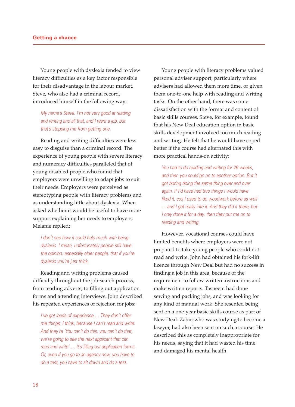Young people with dyslexia tended to view literacy difficulties as a key factor responsible for their disadvantage in the labour market. Steve, who also had a criminal record, introduced himself in the following way:

My name's Steve. I'm not very good at reading and writing and all that, and I want a job, but that's stopping me from getting one.

Reading and writing difficulties were less easy to disguise than a criminal record. The experience of young people with severe literacy and numeracy difficulties paralleled that of young disabled people who found that employers were unwilling to adapt jobs to suit their needs. Employers were perceived as stereotyping people with literacy problems and as understanding little about dyslexia. When asked whether it would be useful to have more support explaining her needs to employers, Melanie replied:

I don't see how it could help much with being dyslexic. I mean, unfortunately people still have the opinion, especially older people, that if you're dyslexic you're just thick.

Reading and writing problems caused difficulty throughout the job-search process, from reading adverts, to filling out application forms and attending interviews. John described his repeated experiences of rejection for jobs:

I've got loads of experience … They don't offer me things, I think, because I can't read and write. And they're 'You can't do this, you can't do that, we're going to see the next applicant that can read and write' … It's filling out application forms. Or, even if you go to an agency now, you have to do a test, you have to sit down and do a test.

Young people with literacy problems valued personal adviser support, particularly where advisers had allowed them more time, or given them one-to-one help with reading and writing tasks. On the other hand, there was some dissatisfaction with the format and content of basic skills courses. Steve, for example, found that his New Deal education option in basic skills development involved too much reading and writing. He felt that he would have coped better if the course had alternated this with more practical hands-on activity:

You had to do reading and writing for 26 weeks, and then you could go on to another option. But it got boring doing the same thing over and over again. If I'd have had two things I would have liked it, cos I used to do woodwork before as well … and I got really into it. And they did it there, but I only done it for a day, then they put me on to reading and writing.

However, vocational courses could have limited benefits where employers were not prepared to take young people who could not read and write. John had obtained his fork-lift licence through New Deal but had no success in finding a job in this area, because of the requirement to follow written instructions and make written reports. Tasneem had done sewing and packing jobs, and was looking for any kind of manual work. She resented being sent on a one-year basic skills course as part of New Deal. Zabir, who was studying to become a lawyer, had also been sent on such a course. He described this as completely inappropriate for his needs, saying that it had wasted his time and damaged his mental health.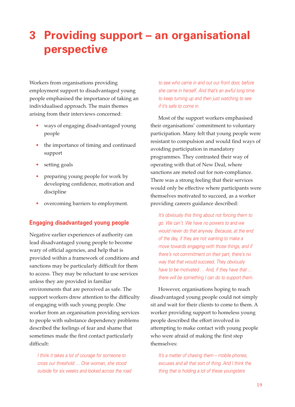# **3 Providing support – an organisational perspective**

Workers from organisations providing employment support to disadvantaged young people emphasised the importance of taking an individualised approach. The main themes arising from their interviews concerned:

- ways of engaging disadvantaged young people
- the importance of timing and continued support
- setting goals
- preparing young people for work by developing confidence, motivation and discipline
- overcoming barriers to employment.

### **Engaging disadvantaged young people**

Negative earlier experiences of authority can lead disadvantaged young people to become wary of official agencies, and help that is provided within a framework of conditions and sanctions may be particularly difficult for them to access. They may be reluctant to use services unless they are provided in familiar environments that are perceived as safe. The support workers drew attention to the difficulty of engaging with such young people. One worker from an organisation providing services to people with substance dependency problems described the feelings of fear and shame that sometimes made the first contact particularly difficult:

I think it takes a lot of courage for someone to cross our threshold … One woman, she stood outside for six weeks and looked across the road to see who came in and out our front door, before she came in herself. And that's an awful long time to keep turning up and then just watching to see if it's safe to come in.

Most of the support workers emphasised their organisations' commitment to voluntary participation. Many felt that young people were resistant to compulsion and would find ways of avoiding participation in mandatory programmes. They contrasted their way of operating with that of New Deal, where sanctions are meted out for non-compliance. There was a strong feeling that their services would only be effective where participants were themselves motivated to succeed, as a worker providing careers guidance described:

It's obviously this thing about not forcing them to go. We can't. We have no powers to and we would never do that anyway. Because, at the end of the day, if they are not wanting to make a move towards engaging with those things, and if there's not commitment on their part, there's no way that that would succeed. They obviously have to be motivated … And, if they have that … there will be something I can do to support them.

However, organisations hoping to reach disadvantaged young people could not simply sit and wait for their clients to come to them. A worker providing support to homeless young people described the effort involved in attempting to make contact with young people who were afraid of making the first step themselves:

It's a matter of chasing them – mobile phones, excuses and all that sort of thing. And I think the thing that is holding a lot of these youngsters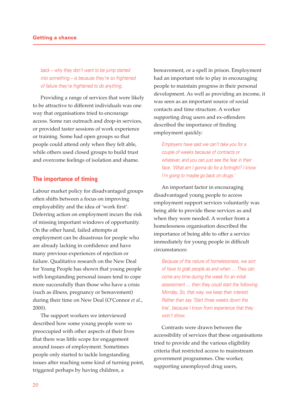back – why they don't want to be jump started into something – is because they're so frightened of failure they're frightened to do anything.

Providing a range of services that were likely to be attractive to different individuals was one way that organisations tried to encourage access. Some ran outreach and drop-in services, or provided taster sessions of work experience or training. Some had open groups so that people could attend only when they felt able, while others used closed groups to build trust and overcome feelings of isolation and shame.

#### **The importance of timing**

Labour market policy for disadvantaged groups often shifts between a focus on improving employability and the idea of 'work first'. Deferring action on employment incurs the risk of missing important windows of opportunity. On the other hand, failed attempts at employment can be disastrous for people who are already lacking in confidence and have many previous experiences of rejection or failure. Qualitative research on the New Deal for Young People has shown that young people with longstanding personal issues tend to cope more successfully than those who have a crisis (such as illness, pregnancy or bereavement) during their time on New Deal (O'Connor *et al*., 2000).

The support workers we interviewed described how some young people were so preoccupied with other aspects of their lives that there was little scope for engagement around issues of employment. Sometimes people only started to tackle longstanding issues after reaching some kind of turning point, triggered perhaps by having children, a

bereavement, or a spell in prison. Employment had an important role to play in encouraging people to maintain progress in their personal development. As well as providing an income, it was seen as an important source of social contacts and time structure. A worker supporting drug users and ex-offenders described the importance of finding employment quickly:

Employers have said we can't take you for a couple of weeks because of contracts or whatever, and you can just see the fear in their face. 'What am I gonna do for a fortnight? I know I'm going to maybe go back on drugs.'

An important factor in encouraging disadvantaged young people to access employment support services voluntarily was being able to provide these services as and when they were needed. A worker from a homelessness organisation described the importance of being able to offer a service immediately for young people in difficult circumstances:

Because of the nature of homelessness, we sort of have to grab people as and when … They can come any time during the week for an initial assessment … then they could start the following Monday. So, that way, we keep their interest. Rather than say 'Start three weeks down the line', because I know from experience that they won't show.

Contrasts were drawn between the accessibility of services that these organisations tried to provide and the various eligibility criteria that restricted access to mainstream government programmes. One worker, supporting unemployed drug users,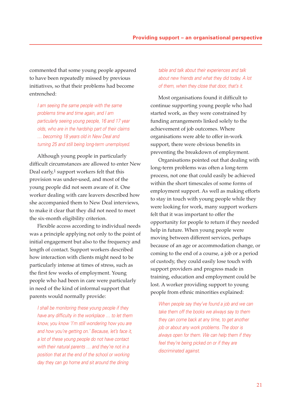commented that some young people appeared to have been repeatedly missed by previous initiatives, so that their problems had become entrenched:

I am seeing the same people with the same problems time and time again, and I am particularly seeing young people, 16 and 17 year olds, who are in the hardship part of their claims … becoming 18 years old in New Deal and turning 25 and still being long-term unemployed.

Although young people in particularly difficult circumstances are allowed to enter New Deal early,<sup>1</sup> support workers felt that this provision was under-used, and most of the young people did not seem aware of it. One worker dealing with care leavers described how she accompanied them to New Deal interviews, to make it clear that they did not need to meet the six-month eligibility criterion.

Flexible access according to individual needs was a principle applying not only to the point of initial engagement but also to the frequency and length of contact. Support workers described how interaction with clients might need to be particularly intense at times of stress, such as the first few weeks of employment. Young people who had been in care were particularly in need of the kind of informal support that parents would normally provide:

I shall be monitoring these young people if they have any difficulty in the workplace … to let them know, you know 'I'm still wondering how you are and how you're getting on.' Because, let's face it, a lot of these young people do not have contact with their natural parents ... and they're not in a position that at the end of the school or working day they can go home and sit around the dining

table and talk about their experiences and talk about new friends and what they did today. A lot of them, when they close that door, that's it.

Most organisations found it difficult to continue supporting young people who had started work, as they were constrained by funding arrangements linked solely to the achievement of job outcomes. Where organisations were able to offer in-work support, there were obvious benefits in preventing the breakdown of employment.

Organisations pointed out that dealing with long-term problems was often a long-term process, not one that could easily be achieved within the short timescales of some forms of employment support. As well as making efforts to stay in touch with young people while they were looking for work, many support workers felt that it was important to offer the opportunity for people to return if they needed help in future. When young people were moving between different services, perhaps because of an age or accommodation change, or coming to the end of a course, a job or a period of custody, they could easily lose touch with support providers and progress made in training, education and employment could be lost. A worker providing support to young people from ethnic minorities explained:

When people say they've found a job and we can take them off the books we always say to them they can come back at any time, to get another job or about any work problems. The door is always open for them. We can help them if they feel they're being picked on or if they are discriminated against.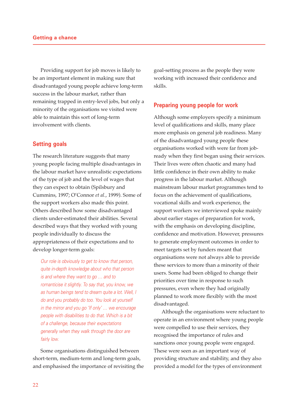Providing support for job moves is likely to be an important element in making sure that disadvantaged young people achieve long-term success in the labour market, rather than remaining trapped in entry-level jobs, but only a minority of the organisations we visited were able to maintain this sort of long-term involvement with clients.

#### **Setting goals**

The research literature suggests that many young people facing multiple disadvantages in the labour market have unrealistic expectations of the type of job and the level of wages that they can expect to obtain (Spilsbury and Cummins, 1997; O'Connor *et al.*, 1999). Some of the support workers also made this point. Others described how some disadvantaged clients under-estimated their abilities. Several described ways that they worked with young people individually to discuss the appropriateness of their expectations and to develop longer-term goals:

Our role is obviously to get to know that person, quite in-depth knowledge about who that person is and where they want to go … and to romanticise it slightly. To say that, you know, we as human beings tend to dream quite a lot. Well, I do and you probably do too. You look at yourself in the mirror and you go 'If only' … we encourage people with disabilities to do that. Which is a bit of a challenge, because their expectations generally when they walk through the door are fairly low.

Some organisations distinguished between short-term, medium-term and long-term goals, and emphasised the importance of revisiting the goal-setting process as the people they were working with increased their confidence and skills.

#### **Preparing young people for work**

Although some employers specify a minimum level of qualifications and skills, many place more emphasis on general job readiness. Many of the disadvantaged young people these organisations worked with were far from jobready when they first began using their services. Their lives were often chaotic and many had little confidence in their own ability to make progress in the labour market. Although mainstream labour market programmes tend to focus on the achievement of qualifications, vocational skills and work experience, the support workers we interviewed spoke mainly about earlier stages of preparation for work, with the emphasis on developing discipline, confidence and motivation. However, pressures to generate employment outcomes in order to meet targets set by funders meant that organisations were not always able to provide these services to more than a minority of their users. Some had been obliged to change their priorities over time in response to such pressures, even where they had originally planned to work more flexibly with the most disadvantaged.

Although the organisations were reluctant to operate in an environment where young people were compelled to use their services, they recognised the importance of rules and sanctions once young people were engaged. These were seen as an important way of providing structure and stability, and they also provided a model for the types of environment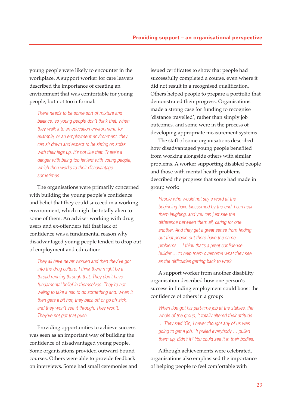young people were likely to encounter in the workplace. A support worker for care leavers described the importance of creating an environment that was comfortable for young people, but not too informal:

There needs to be some sort of mixture and balance, so young people don't think that, when they walk into an education environment, for example, or an employment environment, they can sit down and expect to be sitting on sofas with their legs up. It's not like that. There's a danger with being too lenient with young people, which then works to their disadvantage sometimes.

The organisations were primarily concerned with building the young people's confidence and belief that they could succeed in a working environment, which might be totally alien to some of them. An adviser working with drug users and ex-offenders felt that lack of confidence was a fundamental reason why disadvantaged young people tended to drop out of employment and education:

They all have never worked and then they've got into the drug culture. I think there might be a thread running through that. They don't have fundamental belief in themselves. They're not willing to take a risk to do something and, when it then gets a bit hot, they back off or go off sick, and they won't see it through. They won't. They've not got that push.

Providing opportunities to achieve success was seen as an important way of building the confidence of disadvantaged young people. Some organisations provided outward-bound courses. Others were able to provide feedback on interviews. Some had small ceremonies and issued certificates to show that people had successfully completed a course, even where it did not result in a recognised qualification. Others helped people to prepare a portfolio that demonstrated their progress. Organisations made a strong case for funding to recognise 'distance travelled', rather than simply job outcomes, and some were in the process of developing appropriate measurement systems.

The staff of some organisations described how disadvantaged young people benefited from working alongside others with similar problems. A worker supporting disabled people and those with mental health problems described the progress that some had made in group work:

People who would not say a word at the beginning have blossomed by the end. I can hear them laughing, and you can just see the difference between them all, caring for one another. And they get a great sense from finding out that people out there have the same problems ... I think that's a great confidence builder … to help them overcome what they see as the difficulties getting back to work.

A support worker from another disability organisation described how one person's success in finding employment could boost the confidence of others in a group:

When Joe got his part-time job at the stables, the whole of the group, it totally altered their attitude … They said 'Oh, I never thought any of us was going to get a job.' It pulled everybody … pulled them up, didn't it? You could see it in their bodies.

Although achievements were celebrated, organisations also emphasised the importance of helping people to feel comfortable with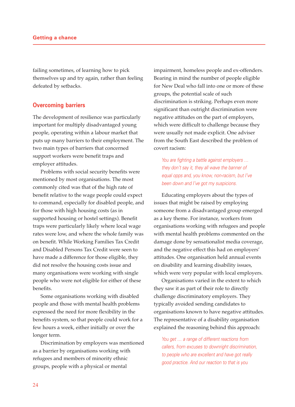failing sometimes, of learning how to pick themselves up and try again, rather than feeling defeated by setbacks.

#### **Overcoming barriers**

The development of resilience was particularly important for multiply disadvantaged young people, operating within a labour market that puts up many barriers to their employment. The two main types of barriers that concerned support workers were benefit traps and employer attitudes.

Problems with social security benefits were mentioned by most organisations. The most commonly cited was that of the high rate of benefit relative to the wage people could expect to command, especially for disabled people, and for those with high housing costs (as in supported housing or hostel settings). Benefit traps were particularly likely where local wage rates were low, and where the whole family was on benefit. While Working Families Tax Credit and Disabled Persons Tax Credit were seen to have made a difference for those eligible, they did not resolve the housing costs issue and many organisations were working with single people who were not eligible for either of these benefits.

Some organisations working with disabled people and those with mental health problems expressed the need for more flexibility in the benefits system, so that people could work for a few hours a week, either initially or over the longer term.

Discrimination by employers was mentioned as a barrier by organisations working with refugees and members of minority ethnic groups, people with a physical or mental

impairment, homeless people and ex-offenders. Bearing in mind the number of people eligible for New Deal who fall into one or more of these groups, the potential scale of such discrimination is striking. Perhaps even more significant than outright discrimination were negative attitudes on the part of employers, which were difficult to challenge because they were usually not made explicit. One adviser from the South East described the problem of covert racism:

You are fighting a battle against employers ... they don't say it, they all wave the banner of equal opps and, you know, non-racism, but I've been down and I've got my suspicions.

Educating employers about the types of issues that might be raised by employing someone from a disadvantaged group emerged as a key theme. For instance, workers from organisations working with refugees and people with mental health problems commented on the damage done by sensationalist media coverage, and the negative effect this had on employers' attitudes. One organisation held annual events on disability and learning disability issues, which were very popular with local employers.

Organisations varied in the extent to which they saw it as part of their role to directly challenge discriminatory employers. They typically avoided sending candidates to organisations known to have negative attitudes. The representative of a disability organisation explained the reasoning behind this approach:

You get ... a range of different reactions from callers, from excuses to downright discrimination, to people who are excellent and have got really good practice. And our reaction to that is you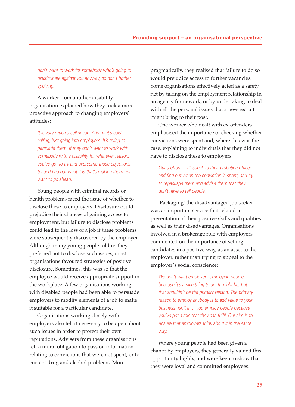don't want to work for somebody who's going to discriminate against you anyway, so don't bother applying.

A worker from another disability organisation explained how they took a more proactive approach to changing employers' attitudes:

It is very much a selling job. A lot of it's cold calling, just going into employers. It's trying to persuade them. If they don't want to work with somebody with a disability for whatever reason, you've got to try and overcome those objections, try and find out what it is that's making them not want to go ahead.

Young people with criminal records or health problems faced the issue of whether to disclose these to employers. Disclosure could prejudice their chances of gaining access to employment, but failure to disclose problems could lead to the loss of a job if these problems were subsequently discovered by the employer. Although many young people told us they preferred not to disclose such issues, most organisations favoured strategies of positive disclosure. Sometimes, this was so that the employee would receive appropriate support in the workplace. A few organisations working with disabled people had been able to persuade employers to modify elements of a job to make it suitable for a particular candidate.

Organisations working closely with employers also felt it necessary to be open about such issues in order to protect their own reputations. Advisers from these organisations felt a moral obligation to pass on information relating to convictions that were not spent, or to current drug and alcohol problems. More

pragmatically, they realised that failure to do so would prejudice access to further vacancies. Some organisations effectively acted as a safety net by taking on the employment relationship in an agency framework, or by undertaking to deal with all the personal issues that a new recruit might bring to their post.

One worker who dealt with ex-offenders emphasised the importance of checking whether convictions were spent and, where this was the case, explaining to individuals that they did not have to disclose these to employers:

Quite often ... I'll speak to their probation officer and find out when the conviction is spent, and try to repackage them and advise them that they don't have to tell people.

'Packaging' the disadvantaged job seeker was an important service that related to presentation of their positive skills and qualities as well as their disadvantages. Organisations involved in a brokerage role with employers commented on the importance of selling candidates in a positive way, as an asset to the employer, rather than trying to appeal to the employer's social conscience:

We don't want employers employing people because it's a nice thing to do. It might be, but that shouldn't be the primary reason. The primary reason to employ anybody is to add value to your business, isn't it … you employ people because you've got a role that they can fulfil. Our aim is to ensure that employers think about it in the same way.

Where young people had been given a chance by employers, they generally valued this opportunity highly, and were keen to show that they were loyal and committed employees.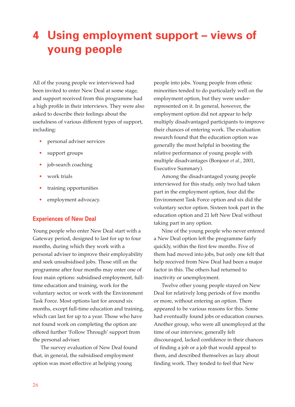# **4 Using employment support – views of young people**

All of the young people we interviewed had been invited to enter New Deal at some stage, and support received from this programme had a high profile in their interviews. They were also asked to describe their feelings about the usefulness of various different types of support, including:

- personal adviser services
- support groups
- job-search coaching
- work trials
- training opportunities
- employment advocacy.

#### **Experiences of New Deal**

Young people who enter New Deal start with a Gateway period, designed to last for up to four months, during which they work with a personal adviser to improve their employability and seek unsubsidised jobs. Those still on the programme after four months may enter one of four main options: subsidised employment, fulltime education and training, work for the voluntary sector, or work with the Environment Task Force. Most options last for around six months, except full-time education and training, which can last for up to a year. Those who have not found work on completing the option are offered further 'Follow Through' support from the personal adviser.

The survey evaluation of New Deal found that, in general, the subsidised employment option was most effective at helping young

people into jobs. Young people from ethnic minorities tended to do particularly well on the employment option, but they were underrepresented on it. In general, however, the employment option did not appear to help multiply disadvantaged participants to improve their chances of entering work. The evaluation research found that the education option was generally the most helpful in boosting the relative performance of young people with multiple disadvantages (Bonjour *et al.*, 2001, Executive Summary).

Among the disadvantaged young people interviewed for this study, only two had taken part in the employment option, four did the Environment Task Force option and six did the voluntary sector option. Sixteen took part in the education option and 21 left New Deal without taking part in any option.

Nine of the young people who never entered a New Deal option left the programme fairly quickly, within the first few months. Five of them had moved into jobs, but only one felt that help received from New Deal had been a major factor in this. The others had returned to inactivity or unemployment.

Twelve other young people stayed on New Deal for relatively long periods of five months or more, without entering an option. There appeared to be various reasons for this. Some had eventually found jobs or education courses. Another group, who were all unemployed at the time of our interview, generally felt discouraged, lacked confidence in their chances of finding a job or a job that would appeal to them, and described themselves as lazy about finding work. They tended to feel that New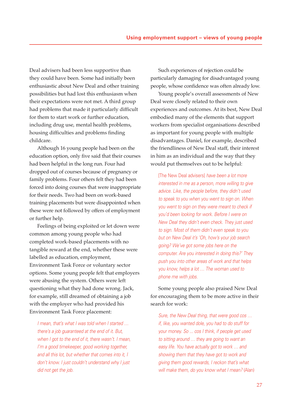Deal advisers had been less supportive than they could have been. Some had initially been enthusiastic about New Deal and other training possibilities but had lost this enthusiasm when their expectations were not met. A third group had problems that made it particularly difficult for them to start work or further education, including drug use, mental health problems, housing difficulties and problems finding childcare.

Although 16 young people had been on the education option, only five said that their courses had been helpful in the long run. Four had dropped out of courses because of pregnancy or family problems. Four others felt they had been forced into doing courses that were inappropriate for their needs. Two had been on work-based training placements but were disappointed when these were not followed by offers of employment or further help.

Feelings of being exploited or let down were common among young people who had completed work-based placements with no tangible reward at the end, whether these were labelled as education, employment, Environment Task Force or voluntary sector options. Some young people felt that employers were abusing the system. Others were left questioning what they had done wrong. Jack, for example, still dreamed of obtaining a job with the employer who had provided his Environment Task Force placement:

I mean, that's what I was told when I started … there's a job guaranteed at the end of it. But, when I got to the end of it, there wasn't. I mean, I'm a good timekeeper, good working together, and all this lot, but whether that comes into it, I don't know. I just couldn't understand why I just did not get the job.

Such experiences of rejection could be particularly damaging for disadvantaged young people, whose confidence was often already low.

Young people's overall assessments of New Deal were closely related to their own experiences and outcomes. At its best, New Deal embodied many of the elements that support workers from specialist organisations described as important for young people with multiple disadvantages. Daniel, for example, described the friendliness of New Deal staff, their interest in him as an individual and the way that they would put themselves out to be helpful:

[The New Deal advisers] have been a lot more interested in me as a person, more willing to give advice. Like, the people before, they didn't used to speak to you when you went to sign on. When you went to sign on they were meant to check if you'd been looking for work. Before I were on New Deal they didn't even check. They just used to sign. Most of them didn't even speak to you but on New Deal it's 'Oh, how's your job search going? We've got some jobs here on the computer. Are you interested in doing this?' They push you into other areas of work and that helps you know, helps a lot … The woman used to phone me with jobs.

Some young people also praised New Deal for encouraging them to be more active in their search for work:

Sure, the New Deal thing, that were good cos … if, like, you wanted dole, you had to do stuff for your money. So ... cos I think, if people get used to sitting around … they are going to want an easy life. You have actually got to work … and showing them that they have got to work and giving them good rewards, I reckon that's what will make them, do you know what I mean? (Alan)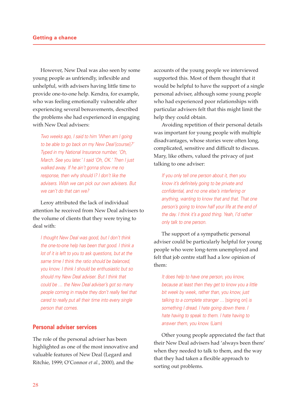However, New Deal was also seen by some young people as unfriendly, inflexible and unhelpful, with advisers having little time to provide one-to-one help. Kendra, for example, who was feeling emotionally vulnerable after experiencing several bereavements, described the problems she had experienced in engaging with New Deal advisers:

Two weeks ago, I said to him 'When am I going to be able to go back on my New Deal [course]?' Typed in my National Insurance number, 'Oh, March. See you later.' I said 'Oh, OK.' Then I just walked away. If he ain't gonna show me no response, then why should I? I don't like the advisers. Wish we can pick our own advisers. But we can't do that can we?

Leroy attributed the lack of individual attention he received from New Deal advisers to the volume of clients that they were trying to deal with:

I thought New Deal was good, but I don't think the one-to-one help has been that good. I think a lot of it is left to you to ask questions, but at the same time I think the ratio should be balanced, you know. I think I should be enthusiastic but so should my New Deal adviser. But I think that could be … the New Deal adviser's got so many people coming in maybe they don't really feel that cared to really put all their time into every single person that comes.

### **Personal adviser services**

The role of the personal adviser has been highlighted as one of the most innovative and valuable features of New Deal (Legard and Ritchie, 1999; O'Connor *et al.*, 2000), and the

accounts of the young people we interviewed supported this. Most of them thought that it would be helpful to have the support of a single personal adviser, although some young people who had experienced poor relationships with particular advisers felt that this might limit the help they could obtain.

Avoiding repetition of their personal details was important for young people with multiple disadvantages, whose stories were often long, complicated, sensitive and difficult to discuss. Mary, like others, valued the privacy of just talking to one adviser:

If you only tell one person about it, then you know it's definitely going to be private and confidential, and no one else's interfering or anything, wanting to know that and that. That one person's going to know half your life at the end of the day. I think it's a good thing. Yeah, I'd rather only talk to one person.

The support of a sympathetic personal adviser could be particularly helpful for young people who were long-term unemployed and felt that job centre staff had a low opinion of them:

It does help to have one person, you know, because at least then they get to know you a little bit week by week, rather than, you know, just talking to a complete stranger ... [signing on] is something I dread. I hate going down there. I hate having to speak to them. I hate having to answer them, you know. (Liam)

Other young people appreciated the fact that their New Deal advisers had 'always been there' when they needed to talk to them, and the way that they had taken a flexible approach to sorting out problems.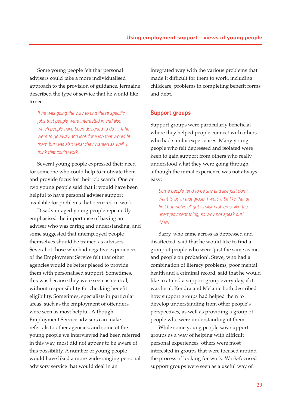Some young people felt that personal advisers could take a more individualised approach to the provision of guidance. Jermaine described the type of service that he would like to see:

If he was going the way to find these specific jobs that people were interested in and also which people have been designed to do … If he were to go away and look for a job that would fit them but was also what they wanted as well. I think that could work.

Several young people expressed their need for someone who could help to motivate them and provide focus for their job search. One or two young people said that it would have been helpful to have personal adviser support available for problems that occurred in work.

Disadvantaged young people repeatedly emphasised the importance of having an adviser who was caring and understanding, and some suggested that unemployed people themselves should be trained as advisers. Several of those who had negative experiences of the Employment Service felt that other agencies would be better placed to provide them with personalised support. Sometimes, this was because they were seen as neutral, without responsibility for checking benefit eligibility. Sometimes, specialists in particular areas, such as the employment of offenders, were seen as most helpful. Although Employment Service advisers can make referrals to other agencies, and some of the young people we interviewed had been referred in this way, most did not appear to be aware of this possibility. A number of young people would have liked a more wide-ranging personal advisory service that would deal in an

integrated way with the various problems that made it difficult for them to work, including childcare, problems in completing benefit forms and debt.

#### **Support groups**

Support groups were particularly beneficial where they helped people connect with others who had similar experiences. Many young people who felt depressed and isolated were keen to gain support from others who really understood what they were going through, although the initial experience was not always easy:

Some people tend to be shy and like just don't want to be in that group. I were a bit like that at first but we've all got similar problems, like the unemployment thing, so why not speak out? (Mary)

Barry, who came across as depressed and disaffected, said that he would like to find a group of people who were 'just the same as me, and people on probation'. Steve, who had a combination of literacy problems, poor mental health and a criminal record, said that he would like to attend a support group every day, if it was local. Kendra and Melanie both described how support groups had helped them to develop understanding from other people's perspectives, as well as providing a group of people who were understanding of them.

While some young people saw support groups as a way of helping with difficult personal experiences, others were most interested in groups that were focused around the process of looking for work. Work-focused support groups were seen as a useful way of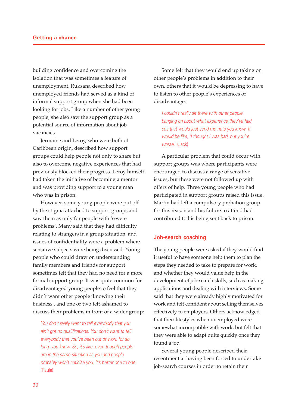building confidence and overcoming the isolation that was sometimes a feature of unemployment. Ruksana described how unemployed friends had served as a kind of informal support group when she had been looking for jobs. Like a number of other young people, she also saw the support group as a potential source of information about job vacancies.

Jermaine and Leroy, who were both of Caribbean origin, described how support groups could help people not only to share but also to overcome negative experiences that had previously blocked their progress. Leroy himself had taken the initiative of becoming a mentor and was providing support to a young man who was in prison.

However, some young people were put off by the stigma attached to support groups and saw them as only for people with 'severe problems'. Many said that they had difficulty relating to strangers in a group situation, and issues of confidentiality were a problem where sensitive subjects were being discussed. Young people who could draw on understanding family members and friends for support sometimes felt that they had no need for a more formal support group. It was quite common for disadvantaged young people to feel that they didn't want other people 'knowing their business', and one or two felt ashamed to discuss their problems in front of a wider group:

You don't really want to tell everybody that you ain't got no qualifications. You don't want to tell everybody that you've been out of work for so long, you know. So, it's like, even though people are in the same situation as you and people probably won't criticise you, it's better one to one. (Paula)

Some felt that they would end up taking on other people's problems in addition to their own, others that it would be depressing to have to listen to other people's experiences of disadvantage:

I couldn't really sit there with other people banging on about what experience they've had, cos that would just send me nuts you know. It would be like, 'I thought I was bad, but you're worse.' (Jack)

A particular problem that could occur with support groups was where participants were encouraged to discuss a range of sensitive issues, but these were not followed up with offers of help. Three young people who had participated in support groups raised this issue. Martin had left a compulsory probation group for this reason and his failure to attend had contributed to his being sent back to prison.

#### **Job-search coaching**

The young people were asked if they would find it useful to have someone help them to plan the steps they needed to take to prepare for work, and whether they would value help in the development of job-search skills, such as making applications and dealing with interviews. Some said that they were already highly motivated for work and felt confident about selling themselves effectively to employers. Others acknowledged that their lifestyles when unemployed were somewhat incompatible with work, but felt that they were able to adapt quite quickly once they found a job.

Several young people described their resentment at having been forced to undertake job-search courses in order to retain their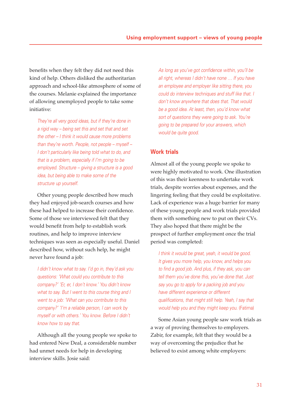benefits when they felt they did not need this kind of help. Others disliked the authoritarian approach and school-like atmosphere of some of the courses. Melanie explained the importance of allowing unemployed people to take some initiative:

They're all very good ideas, but if they're done in a rigid way – being set this and set that and set the other – I think it would cause more problems than they're worth. People, not people – myself – I don't particularly like being told what to do, and that is a problem, especially if I'm going to be employed. Structure – giving a structure is a good idea, but being able to make some of the structure up yourself.

Other young people described how much they had enjoyed job-search courses and how these had helped to increase their confidence. Some of those we interviewed felt that they would benefit from help to establish work routines, and help to improve interview techniques was seen as especially useful. Daniel described how, without such help, he might never have found a job:

I didn't know what to say. I'd go in, they'd ask you questions: 'What could you contribute to this company?' 'Er, er, I don't know.' You didn't know what to say. But I went to this course thing and I went to a job: 'What can you contribute to this company?' 'I'm a reliable person, I can work by myself or with others.' You know. Before I didn't know how to say that.

Although all the young people we spoke to had entered New Deal, a considerable number had unmet needs for help in developing interview skills. Josie said:

As long as you've got confidence within, you'll be all right, whereas I didn't have none … If you have an employee and employer like sitting there, you could do interview techniques and stuff like that. I don't know anywhere that does that. That would be a good idea. At least, then, you'd know what sort of questions they were going to ask. You're going to be prepared for your answers, which would be quite good.

#### **Work trials**

Almost all of the young people we spoke to were highly motivated to work. One illustration of this was their keenness to undertake work trials, despite worries about expenses, and the lingering feeling that they could be exploitative. Lack of experience was a huge barrier for many of these young people and work trials provided them with something new to put on their CVs. They also hoped that there might be the prospect of further employment once the trial period was completed:

I think it would be great, yeah, it would be good. It gives you more help, you know, and helps you to find a good job. And plus, if they ask, you can tell them you've done this, you've done that. Just say you go to apply for a packing job and you have different experience or different qualifications, that might still help. Yeah, I say that would help you and they might keep you. (Fatima)

Some Asian young people saw work trials as a way of proving themselves to employers. Zabir, for example, felt that they would be a way of overcoming the prejudice that he believed to exist among white employers: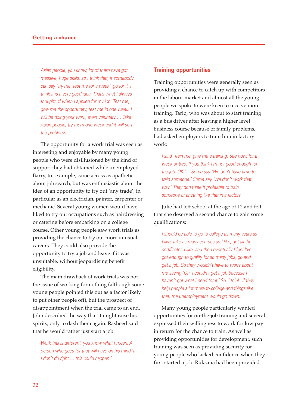Asian people, you know, lot of them have got massive, huge skills, so I think that, if somebody can say 'Try me, test me for a week', go for it. I think it is a very good idea. That's what I always thought of when I applied for my job. Test me, give me the opportunity, test me in one week. I will be doing your work, even voluntary ... Take Asian people, try them one week and it will sort the problems.

The opportunity for a work trial was seen as interesting and enjoyable by many young people who were disillusioned by the kind of support they had obtained while unemployed. Barry, for example, came across as apathetic about job search, but was enthusiastic about the idea of an opportunity to try out 'any trade', in particular as an electrician, painter, carpenter or mechanic. Several young women would have liked to try out occupations such as hairdressing or catering before embarking on a college course. Other young people saw work trials as providing the chance to try out more unusual careers. They could also provide the opportunity to try a job and leave if it was unsuitable, without jeopardising benefit eligibility.

The main drawback of work trials was not the issue of working for nothing (although some young people pointed this out as a factor likely to put other people off), but the prospect of disappointment when the trial came to an end. John described the way that it might raise his spirits, only to dash them again. Rasheed said that he would rather just start a job:

Work trial is different, you know what I mean. A person who goes for that will have on his mind 'If I don't do right ... this could happen.'

#### **Training opportunities**

Training opportunities were generally seen as providing a chance to catch up with competitors in the labour market and almost all the young people we spoke to were keen to receive more training. Tariq, who was about to start training as a bus driver after leaving a higher level business course because of family problems, had asked employers to train him in factory work:

I said 'Train me, give me a training. See how, for a week or two. If you think I'm not good enough for the job, OK.' …Some say 'We don't have time to train someone.' Some say 'We don't work that way.' They don't see it profitable to train someone or anything like that in a factory.

Julie had left school at the age of 12 and felt that she deserved a second chance to gain some qualifications:

I should be able to go to college as many years as I like, take as many courses as I like, get all the certificates I like, and then eventually I feel I've got enough to qualify for so many jobs, go and get a job. So they wouldn't have to worry about me saying 'Oh, I couldn't get a job because I haven't got what I need for it.' So, I think, if they help people a lot more to college and things like that, the unemployment would go down.

Many young people particularly wanted opportunities for on-the-job training and several expressed their willingness to work for low pay in return for the chance to train. As well as providing opportunities for development, such training was seen as providing security for young people who lacked confidence when they first started a job. Ruksana had been provided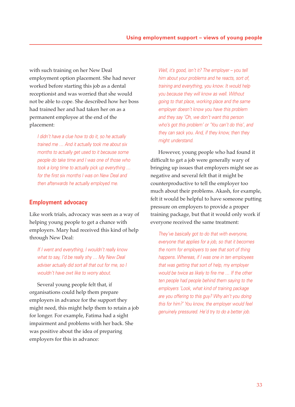with such training on her New Deal employment option placement. She had never worked before starting this job as a dental receptionist and was worried that she would not be able to cope. She described how her boss had trained her and had taken her on as a permanent employee at the end of the placement:

I didn't have a clue how to do it, so he actually trained me … And it actually took me about six months to actually get used to it because some people do take time and I was one of those who took a long time to actually pick up everything … for the first six months I was on New Deal and then afterwards he actually employed me.

#### **Employment advocacy**

Like work trials, advocacy was seen as a way of helping young people to get a chance with employers. Mary had received this kind of help through New Deal:

If I went and everything, I wouldn't really know what to say, I'd be really shy ... My New Deal adviser actually did sort all that out for me, so I wouldn't have owt like to worry about.

Several young people felt that, if organisations could help them prepare employers in advance for the support they might need, this might help them to retain a job for longer. For example, Fatima had a sight impairment and problems with her back. She was positive about the idea of preparing employers for this in advance:

Well, it's good, isn't it? The employer – you tell him about your problems and he reacts, sort of, training and everything, you know. It would help you because they will know as well. Without going to that place, working place and the same employer doesn't know you have this problem and they say 'Oh, we don't want this person who's got this problem' or 'You can't do this', and they can sack you. And, if they know, then they might understand.

However, young people who had found it difficult to get a job were generally wary of bringing up issues that employers might see as negative and several felt that it might be counterproductive to tell the employer too much about their problems. Akash, for example, felt it would be helpful to have someone putting pressure on employers to provide a proper training package, but that it would only work if everyone received the same treatment:

They've basically got to do that with everyone, everyone that applies for a job, so that it becomes the norm for employers to see that sort of thing happens. Whereas, if I was one in ten employees that was getting that sort of help, my employer would be twice as likely to fire me … If the other ten people had people behind them saying to the employers 'Look, what kind of training package are you offering to this guy? Why ain't you doing this for him?' You know, the employer would feel genuinely pressured. He'd try to do a better job.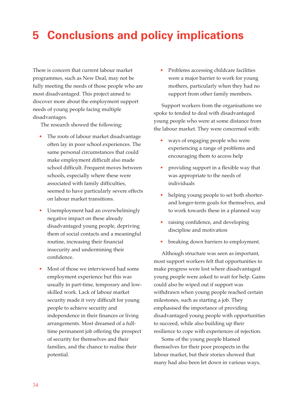# **5 Conclusions and policy implications**

There is concern that current labour market programmes, such as New Deal, may not be fully meeting the needs of those people who are most disadvantaged. This project aimed to discover more about the employment support needs of young people facing multiple disadvantages.

The research showed the following:

- The roots of labour market disadvantage often lay in poor school experiences. The same personal circumstances that could make employment difficult also made school difficult. Frequent moves between schools, especially where these were associated with family difficulties, seemed to have particularly severe effects on labour market transitions.
- Unemployment had an overwhelmingly negative impact on these already disadvantaged young people, depriving them of social contacts and a meaningful routine, increasing their financial insecurity and undermining their confidence.
- Most of those we interviewed had some employment experience but this was usually in part-time, temporary and lowskilled work. Lack of labour market security made it very difficult for young people to achieve security and independence in their finances or living arrangements. Most dreamed of a fulltime permanent job offering the prospect of security for themselves and their families, and the chance to realise their potential.

• Problems accessing childcare facilities were a major barrier to work for young mothers, particularly when they had no support from other family members.

Support workers from the organisations we spoke to tended to deal with disadvantaged young people who were at some distance from the labour market. They were concerned with:

- ways of engaging people who were experiencing a range of problems and encouraging them to access help
- providing support in a flexible way that was appropriate to the needs of individuals
- helping young people to set both shorterand longer-term goals for themselves, and to work towards these in a planned way
- raising confidence, and developing discipline and motivation
- breaking down barriers to employment.

Although structure was seen as important, most support workers felt that opportunities to make progress were lost where disadvantaged young people were asked to wait for help. Gains could also be wiped out if support was withdrawn when young people reached certain milestones, such as starting a job. They emphasised the importance of providing disadvantaged young people with opportunities to succeed, while also building up their resilience to cope with experiences of rejection.

Some of the young people blamed themselves for their poor prospects in the labour market, but their stories showed that many had also been let down in various ways.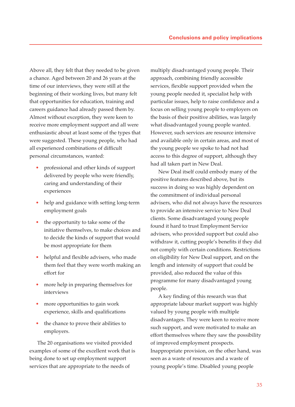Above all, they felt that they needed to be given a chance. Aged between 20 and 26 years at the time of our interviews, they were still at the beginning of their working lives, but many felt that opportunities for education, training and careers guidance had already passed them by. Almost without exception, they were keen to receive more employment support and all were enthusiastic about at least some of the types that were suggested. These young people, who had all experienced combinations of difficult personal circumstances, wanted:

- professional and other kinds of support delivered by people who were friendly, caring and understanding of their experiences
- help and guidance with setting long-term employment goals
- the opportunity to take some of the initiative themselves, to make choices and to decide the kinds of support that would be most appropriate for them
- helpful and flexible advisers, who made them feel that they were worth making an effort for
- more help in preparing themselves for interviews
- more opportunities to gain work experience, skills and qualifications
- the chance to prove their abilities to employers.

The 20 organisations we visited provided examples of some of the excellent work that is being done to set up employment support services that are appropriate to the needs of

multiply disadvantaged young people. Their approach, combining friendly accessible services, flexible support provided when the young people needed it, specialist help with particular issues, help to raise confidence and a focus on selling young people to employers on the basis of their positive abilities, was largely what disadvantaged young people wanted. However, such services are resource intensive and available only in certain areas, and most of the young people we spoke to had not had access to this degree of support, although they had all taken part in New Deal.

New Deal itself could embody many of the positive features described above, but its success in doing so was highly dependent on the commitment of individual personal advisers, who did not always have the resources to provide an intensive service to New Deal clients. Some disadvantaged young people found it hard to trust Employment Service advisers, who provided support but could also withdraw it, cutting people's benefits if they did not comply with certain conditions. Restrictions on eligibility for New Deal support, and on the length and intensity of support that could be provided, also reduced the value of this programme for many disadvantaged young people.

A key finding of this research was that appropriate labour market support was highly valued by young people with multiple disadvantages. They were keen to receive more such support, and were motivated to make an effort themselves where they saw the possibility of improved employment prospects. Inappropriate provision, on the other hand, was seen as a waste of resources and a waste of young people's time. Disabled young people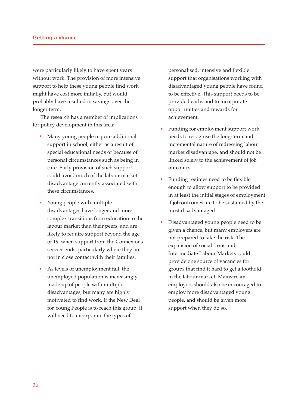were particularly likely to have spent years without work. The provision of more intensive support to help these young people find work might have cost more initially, but would probably have resulted in savings over the longer term.

The research has a number of implications for policy development in this area:

- Many young people require additional support in school, either as a result of special educational needs or because of personal circumstances such as being in care. Early provision of such support could avoid much of the labour market disadvantage currently associated with these circumstances.
- Young people with multiple disadvantages have longer and more complex transitions from education to the labour market than their peers, and are likely to require support beyond the age of 19, when support from the Connexions service ends, particularly where they are not in close contact with their families.
- As levels of unemployment fall, the unemployed population is increasingly made up of people with multiple disadvantages, but many are highly motivated to find work. If the New Deal for Young People is to reach this group, it will need to incorporate the types of

personalised, intensive and flexible support that organisations working with disadvantaged young people have found to be effective. This support needs to be provided early, and to incorporate opportunities and rewards for achievement.

- Funding for employment support work needs to recognise the long-term and incremental nature of redressing labour market disadvantage, and should not be linked solely to the achievement of job outcomes.
- Funding regimes need to be flexible enough to allow support to be provided in at least the initial stages of employment if job outcomes are to be sustained by the most disadvantaged.
- Disadvantaged young people need to be given a chance, but many employers are not prepared to take the risk. The expansion of social firms and Intermediate Labour Markets could provide one source of vacancies for groups that find it hard to get a foothold in the labour market. Mainstream employers should also be encouraged to employ more disadvantaged young people, and should be given more support when they do so.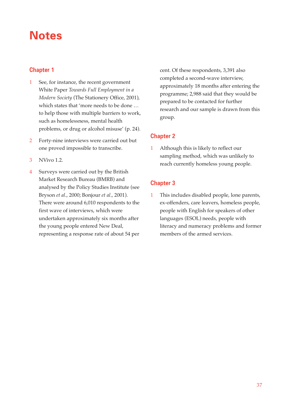### **Notes**

### **Chapter 1**

- 1 See, for instance, the recent government White Paper *Towards Full Employment in a Modern Society* (The Stationery Office, 2001), which states that 'more needs to be done … to help those with multiple barriers to work, such as homelessness, mental health problems, or drug or alcohol misuse' (p. 24).
- 2 Forty-nine interviews were carried out but one proved impossible to transcribe.
- 3 NVivo 1.2.
- 4 Surveys were carried out by the British Market Research Bureau (BMRB) and analysed by the Policy Studies Institute (see Bryson *et al*., 2000; Bonjour *et al*., 2001). There were around 6,010 respondents to the first wave of interviews, which were undertaken approximately six months after the young people entered New Deal, representing a response rate of about 54 per

cent. Of these respondents, 3,391 also completed a second-wave interview, approximately 18 months after entering the programme; 2,988 said that they would be prepared to be contacted for further research and our sample is drawn from this group.

### **Chapter 2**

1 Although this is likely to reflect our sampling method, which was unlikely to reach currently homeless young people.

### **Chapter 3**

1 This includes disabled people, lone parents, ex-offenders, care leavers, homeless people, people with English for speakers of other languages (ESOL) needs, people with literacy and numeracy problems and former members of the armed services.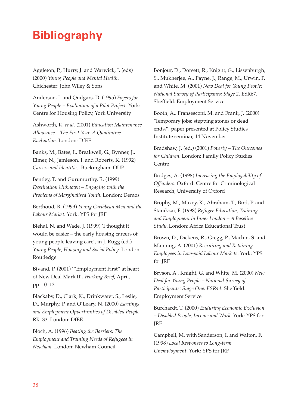### **Bibliography**

Aggleton, P., Hurry, J. and Warwick, I. (eds) (2000) *Young People and Mental Health*. Chichester: John Wiley & Sons

Anderson, I. and Quilgars, D. (1995) *Foyers for Young People – Evaluation of a Pilot Project*. York: Centre for Housing Policy, York University

Ashworth, K. *et al*. (2001) *Education Maintenance Allowance – The First Year. A Qualitative Evaluation*. London: DfEE

Banks, M., Bates, I., Breakwell, G., Bynner, J., Elmer, N., Jamieson, I. and Roberts, K. (1992) *Careers and Identities*. Buckingham: OUP

Bentley, T. and Gurumurthy, R. (1999) *Destination Unknown – Engaging with the Problems of Marginalised Youth*. London: Demos

Berthoud, R. (1999) *Young Caribbean Men and the Labour Market*. York: YPS for JRF

Biehal, N. and Wade, J. (1999) 'I thought it would be easier – the early housing careers of young people leaving care', in J. Rugg (ed.) *Young People, Housing and Social Policy*. London: Routledge

Bivand, P. (2001) '"Employment First" at heart of New Deal Mark II', *Working Brief*, April, pp. 10–13

Blackaby, D., Clark, K., Drinkwater, S., Leslie, D., Murphy, P. and O'Leary, N. (2000) *Earnings and Employment Opportunities of Disabled People*. RR133. London: DfEE

Bloch, A. (1996) *Beating the Barriers: The Employment and Training Needs of Refugees in Newham.* London: Newham Council

Bonjour, D., Dorsett, R., Knight, G., Lissenburgh, S., Mukherjee, A., Payne, J., Range, M., Urwin, P. and White, M. (2001) *New Deal for Young People: National Survey of Participants: Stage 2*. ESR67. Sheffield: Employment Service

Booth, A., Fransesconi, M. and Frank, J. (2000) 'Temporary jobs: stepping stones or dead ends?', paper presented at Policy Studies Institute seminar, 14 November

Bradshaw, J. (ed.) (2001) *Poverty – The Outcomes for Children*. London: Family Policy Studies Centre

Bridges, A. (1998) *Increasing the Employability of Offenders*. Oxford: Centre for Criminological Research, University of Oxford

Brophy, M., Maxey, K., Abraham, T., Bird, P. and Stanikzai, F. (1998) *Refugee Education, Training and Employment in Inner London – A Baseline Study*. London: Africa Educational Trust

Brown, D., Dickens, R., Gregg, P., Machin, S. and Manning, A. (2001) *Recruiting and Retaining Employees in Low-paid Labour Markets*. York: YPS for JRF

Bryson, A., Knight, G. and White, M. (2000) *New Deal for Young People – National Survey of Participants: Stage One. ESR44.* Sheffield: Employment Service

Burchardt, T. (2000) *Enduring Economic Exclusion – Disabled People, Income and Work*. York: YPS for JRF

Campbell, M. with Sanderson, I. and Walton, F. (1998) *Local Responses to Long-term Unemployment*. York: YPS for JRF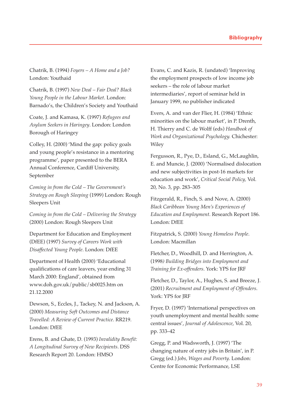Chatrik, B. (1994) *Foyers – A Home and a Job?* London: Youthaid

Chatrik, B. (1997) *New Deal – Fair Deal? Black Young People in the Labour Market*. London: Barnado's, the Children's Society and Youthaid

Coate, J. and Kamasa, K. (1997) *Refugees and Asylum Seekers in Haringey*. London: London Borough of Haringey

Colley, H. (2000) 'Mind the gap: policy goals and young people's resistance in a mentoring programme', paper presented to the BERA Annual Conference, Cardiff University, September

*Coming in from the Cold – The Government's Strategy on Rough Sleeping* (1999) London: Rough Sleepers Unit

*Coming in from the Cold – Delivering the Strategy* (2000) London: Rough Sleepers Unit

Department for Education and Employment (DfEE) (1997) *Survey of Careers Work with Disaffected Young People*. London: DfEE

Department of Health (2000) 'Educational qualifications of care leavers, year ending 31 March 2000: England', obtained from www.doh.gov.uk/public/sb0025.htm on 21.12.2000

Dewson, S., Eccles, J., Tackey, N. and Jackson, A. (2000) *Measuring Soft Outcomes and Distance Travelled: A Review of Current Practice*. RR219. London: DfEE

Erens, B. and Ghate, D. (1993) *Invalidity Benefit: A Longitudinal Survey of New Recipients*. DSS Research Report 20. London: HMSO

Evans, C. and Kazis, R. (undated) 'Improving the employment prospects of low income job seekers – the role of labour market intermediaries', report of seminar held in January 1999, no publisher indicated

Evers, A. and van der Flier, H. (1984) 'Ethnic minorities on the labour market', in P. Drenth, H. Thierry and C. de Wolff (eds) *Handbook of Work and Organizational Psychology.* Chichester: Wiley

Fergusson, R., Pye, D., Esland, G., McLaughlin, E. and Muncie, J. (2000) 'Normalised dislocation and new subjectivities in post-16 markets for education and work', *Critical Social Policy,* Vol. 20, No. 3, pp. 283–305

Fitzgerald, R., Finch, S. and Nove, A. (2000) *Black Caribbean Young Men's Experiences of Education and Employment*. Research Report 186. London: DfEE

Fitzpatrick, S. (2000) *Young Homeless People*. London: Macmillan

Fletcher, D., Woodhill, D. and Herrington, A. (1998*) Building Bridges into Employment and Training for Ex-offenders*. York: YPS for JRF

Fletcher, D., Taylor, A., Hughes, S. and Breeze, J. (2001) *Recruitment and Employment of Offenders*. York: YPS for JRF

Fryer, D. (1997) 'International perspectives on youth unemployment and mental health: some central issues', *Journal of Adolescence*, Vol. 20, pp. 333–42

Gregg, P. and Wadsworth, J. (1997) 'The changing nature of entry jobs in Britain', in P. Gregg (ed.) *Jobs, Wages and Poverty*. London: Centre for Economic Performance, LSE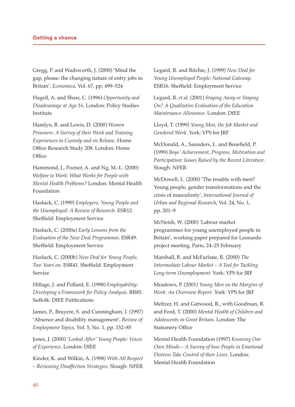Gregg, P. and Wadsworth, J. (2000) 'Mind the gap, please: the changing nature of entry jobs in Britain', *Economica,* Vol. 67, pp. 499–524

Hagell, A. and Shaw, C. (1996) *Opportunity and Disadvantage at Age 16*. London: Policy Studies Institute

Hamlyn, B. and Lewis, D. (2000) *Women Prisoners: A Survey of their Work and Training Experiences in Custody and on Release*. Home Office Research Study 208. London: Home **Office** 

Hammond, J., Pozner, A. and Ng, M.-L. (2000) *Welfare to Work: What Works for People with Mental Health Problems?* London: Mental Health Foundation

Hasluck, C. (1999) *Employers, Young People and the Unemployed: A Review of Research*. ESR12. Sheffield: Employment Service

Hasluck, C. (2000a) *Early Lessons from the Evaluation of the New Deal Programmes*. ESR49. Sheffield: Employment Service

Hasluck, C. (2000b) *New Deal for Young People, Two Years on*. ESR41. Sheffield: Employment Service

Hillage, J. and Pollard, E. (1998) *Employability: Developing a Framework for Policy Analysis*. RR85. Suffolk: DfEE Publications

James, P., Bruyere, S. and Cunningham, I. (1997) 'Absence and disability management', *Review of Employment Topics*, Vol. 5, No. 1, pp. 152–85

Jones, J. (2000) *'Looked After' Young People: Voices of Experience*. London: DfEE

Kinder, K. and Wilkin, A. (1998) *With All Respect – Reviewing Disaffection Strategies*. Slough: NFER Legard, R. and Ritchie, J. (1999) *New Deal for Young Unemployed People: National Gateway*. ESR16. Sheffield: Employment Service

Legard, R. *et al*. (2001) *Staying Away or Staying On? A Qualitative Evaluation of the Education Maintenance Allowance*. London: DfEE

Lloyd, T. (1999) *Young Men, the Job Market and Gendered Work*. York: YPS for JRF

McDonald, A., Saunders, L. and Benefield, P. (1999) *Boys' Achievement, Progress, Motivation and Participation: Issues Raised by the Recent Literature*. Slough: NFER

McDowell, L. (2000) 'The trouble with men? Young people, gender transformations and the crisis of masculinity', *International Journal of Urban and Regional Research*, Vol. 24, No. 1, pp. 201–9

McNeish, W. (2000) 'Labour market programmes for young unemployed people in Britain', working paper prepared for Leonardo project meeting, Paris, 24–25 February

Marshall, B. and McFarlane, R. (2000) *The Intermediate Labour Market – A Tool for Tackling Long-term Unemployment*. York: YPS for JRF

Meadows, P. (2001) *Young Men on the Margins of Work: An Overview Report*. York: YPS for JRF

Meltzer, H. and Gatwood, R., with Goodman, R. and Ford, T. (2000) *Mental Health of Children and Adolescents in Great Britain*. London: The Stationery Office

Mental Health Foundation (1997) *Knowing Our Own Minds – A Survey of how People in Emotional Distress Take Control of their Lives*. London: Mental Health Foundation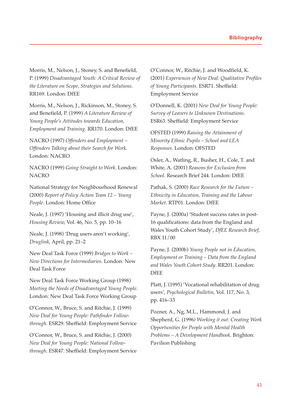Morris, M., Nelson, J., Stoney, S. and Benefield, P. (1999) *Disadvantaged Youth: A Critical Review of the Literature on Scope, Strategies and Solutions*. RR169. London: DfEE

Morris, M., Nelson, J., Rickinson, M., Stoney, S. and Benefield, P. (1999) *A Literature Review of Young People's Attitudes towards Education, Employment and Training*. RR170. London: DfEE

NACRO (1997) *Offenders and Employment – Offenders Talking about their Search for Work*. London: NACRO

NACRO (1999) *Going Straight to Work*. London: **NACRO** 

National Strategy for Neighbourhood Renewal (2000) *Report of Policy Action Team 12 – Young People*. London: Home Office

Neale, J. (1997) 'Housing and illicit drug use', *Housing Review,* Vol. 46, No. 5, pp. 10–16

Neale, J. (1998) 'Drug users aren't working', *Druglink*, April, pp. 21–2

New Deal Task Force (1999) *Bridges to Work – New Directions for Intermediaries*. London: New Deal Task Force

New Deal Task Force Working Group (1998) *Meeting the Needs of Disadvantaged Young People*. London: New Deal Task Force Working Group

O'Connor, W., Bruce, S. and Ritchie, J. (1999) *New Deal for Young People: Pathfinder Followthrough*. ESR29. Sheffield: Employment Service

O'Connor, W., Bruce, S. and Ritchie, J. (2000) *New Deal for Young People: National Followthrough*. ESR47. Sheffield: Employment Service O'Connor, W., Ritchie, J. and Woodfield, K. (2001) *Experiences of New Deal: Qualitative Profiles of Young Participants*. ESR71. Sheffield: Employment Service

O'Donnell, K. (2001) *New Deal for Young People: Survey of Leavers to Unknown Destinations*. ESR63. Sheffield: Employment Service

OFSTED (1999) *Raising the Attainment of Minority Ethnic Pupils – School and LEA Responses*. London: OFSTED

Osler, A., Watling, R., Busher, H., Cole, T. and White, A. (2001) *Reasons for Exclusion from School*. Research Brief 244. London: DfEE

Pathak, S. (2000) *Race Research for the Future – Ethnicity in Education, Training and the Labour Market*. RTP01. London: DfEE

Payne, J. (2000a) 'Student success rates in post-16 qualifications: data from the England and Wales Youth Cohort Study', *DfEE Research Brief*, RBX 11/00

Payne, J. (2000b) *Young People not in Education, Employment or Training – Data from the England and Wales Youth Cohort Study*. RR201. London: DfEE

Platt, J. (1995) 'Vocational rehabilitation of drug users', *Psychological Bulletin,* Vol. 117, No. 3, pp. 416–33

Pozner, A., Ng, M.L., Hammond, J. and Shepherd, G. (1996*) Working it out: Creating Work Opportunities for People with Mental Health Problems – A Development Handbook*. Brighton: Pavilion Publishing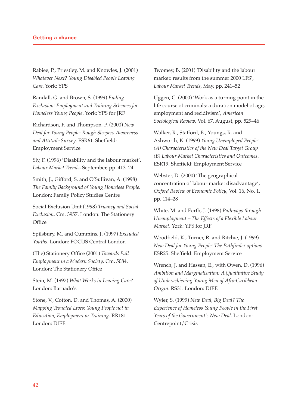Rabiee, P., Priestley, M. and Knowles, J. (2001) *Whatever Next? Young Disabled People Leaving Care*. York: YPS

Randall, G. and Brown, S. (1999) *Ending Exclusion: Employment and Training Schemes for Homeless Young People*. York: YPS for JRF

Richardson, F. and Thompson, P. (2000) *New Deal for Young People: Rough Sleepers Awareness and Attitude Survey*. ESR61. Sheffield: Employment Service

Sly, F. (1996) 'Disability and the labour market', *Labour Market Trends*, September, pp. 413–24

Smith, J., Gifford, S. and O'Sullivan, A. (1998) *The Family Background of Young Homeless People*. London: Family Policy Studies Centre

Social Exclusion Unit (1998) *Truancy and Social Exclusion*. Cm. 3957. London: The Stationery **Office** 

Spilsbury, M. and Cummins, J. (1997) *Excluded Youths*. London: FOCUS Central London

(The) Stationery Office (2001) *Towards Full Employment in a Modern Society*. Cm. 5084. London: The Stationery Office

Stein, M. (1997) *What Works in Leaving Care?* London: Barnado's

Stone, V., Cotton, D. and Thomas, A. (2000) *Mapping Troubled Lives: Young People not in Education, Employment or Training*. RR181. London: DfEE

Twomey, B. (2001) 'Disability and the labour market: results from the summer 2000 LFS', *Labour Market Trends*, May, pp. 241–52

Uggen, C. (2000) 'Work as a turning point in the life course of criminals: a duration model of age, employment and recidivism', *American Sociological Review*, Vol. 67, August, pp. 529–46

Walker, R., Stafford, B., Youngs, R. and Ashworth, K. (1999) *Young Unemployed People: (A) Characteristics of the New Deal Target Group (B) Labour Market Characteristics and Outcomes*. ESR19. Sheffield: Employment Service

Webster, D. (2000) 'The geographical concentration of labour market disadvantage', *Oxford Review of Economic Policy*, Vol. 16, No. 1, pp. 114–28

White, M. and Forth, J. (1998) *Pathways through Unemployment – The Effects of a Flexible Labour Market*. York: YPS for JRF

Woodfield, K., Turner, R. and Ritchie, J. (1999) *New Deal for Young People: The Pathfinder options*. ESR25. Sheffield: Employment Service

Wrench, J. and Hassan, E., with Owen, D. (1996) *Ambition and Marginalisation: A Qualitative Study of Underachieving Young Men of Afro-Caribbean Origin*. RS31. London: DfEE

Wyler, S. (1999) *New Deal, Big Deal? The Experience of Homeless Young People in the First Years of the Government's New Deal*. London: Centrepoint/Crisis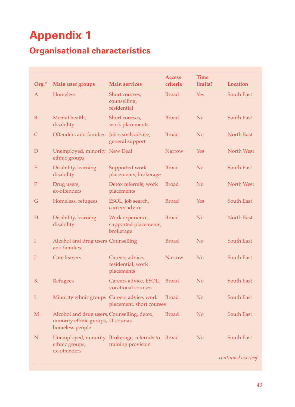# **Appendix 1**

### **Organisational characteristics**

| Org.*        | Main user groups                                                                                     | <b>Main services</b>                                   | <b>Access</b><br>criteria | <b>Time</b><br>limits? | <b>Location</b>    |
|--------------|------------------------------------------------------------------------------------------------------|--------------------------------------------------------|---------------------------|------------------------|--------------------|
| $\mathbf{A}$ | Homeless                                                                                             | Short courses,<br>counselling,<br>residential          | <b>Broad</b>              | Yes                    | <b>South East</b>  |
| B            | Mental health,<br>disability                                                                         | Short courses,<br>work placements                      | <b>Broad</b>              | N <sub>o</sub>         | South East         |
| $\mathsf{C}$ | Offenders and families Job-search advice,                                                            | general support                                        | <b>Broad</b>              | N <sub>o</sub>         | North East         |
| $\mathbf D$  | Unemployed, minority New Deal<br>ethnic groups                                                       |                                                        | <b>Narrow</b>             | Yes                    | North West         |
| ${\bf E}$    | Disability, learning<br>disability                                                                   | Supported work<br>placements, brokerage                | <b>Broad</b>              | N <sub>o</sub>         | South East         |
| ${\bf F}$    | Drug users,<br>ex-offenders                                                                          | Detox referrals, work<br>placements                    | <b>Broad</b>              | N <sub>o</sub>         | North West         |
| $\mathsf G$  | Homeless, refugees                                                                                   | ESOL, job search,<br>careers advice                    | <b>Broad</b>              | <b>Yes</b>             | South East         |
| $H_{\rm}$    | Disability, learning<br>disability                                                                   | Work experience,<br>supported placements,<br>brokerage | <b>Broad</b>              | N <sub>o</sub>         | North East         |
| I            | Alcohol and drug users Counselling<br>and families                                                   |                                                        | <b>Broad</b>              | N <sub>o</sub>         | South East         |
| J            | <b>Care leavers</b>                                                                                  | Careers advice,<br>residential, work<br>placements     | <b>Narrow</b>             | N <sub>o</sub>         | <b>South East</b>  |
| $\mathbf K$  | Refugees                                                                                             | Careers advice, ESOL,<br>vocational courses            | <b>Broad</b>              | N <sub>o</sub>         | <b>South East</b>  |
| L            | Minority ethnic groups Careers advice, work                                                          | placement, short courses                               | <b>Broad</b>              | N <sub>o</sub>         | South East         |
| M            | Alcohol and drug users, Counselling, detox,<br>minority ethnic groups, IT courses<br>homeless people |                                                        | <b>Broad</b>              | N <sub>o</sub>         | South East         |
| N            | Unemployed, minority Brokerage, referrals to<br>ethnic groups,                                       | training provision                                     | Broad                     | N <sub>o</sub>         | South East         |
|              | ex-offenders                                                                                         |                                                        |                           |                        | continued overleaf |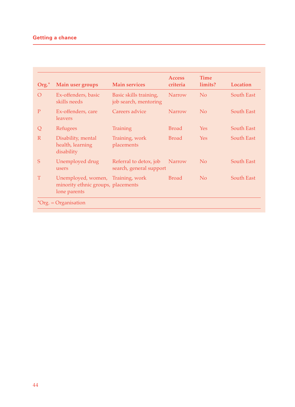### **Getting a chance**

| $Org.*$      | Main user groups                                                                        | <b>Main services</b>                              | <b>Access</b><br>criteria | <b>Time</b><br>limits? | Location          |
|--------------|-----------------------------------------------------------------------------------------|---------------------------------------------------|---------------------------|------------------------|-------------------|
| $\Omega$     | Ex-offenders, basic<br>skills needs                                                     | Basic skills training,<br>job search, mentoring   | <b>Narrow</b>             | No                     | South East        |
| P            | Ex-offenders, care<br><i>leavers</i>                                                    | Careers advice                                    | <b>Narrow</b>             | No                     | <b>South East</b> |
| Q            | Refugees                                                                                | <b>Training</b>                                   | <b>Broad</b>              | <b>Yes</b>             | <b>South East</b> |
| $\mathbb{R}$ | Disability, mental<br>health, learning<br>disability                                    | Training, work<br>placements                      | <b>Broad</b>              | Yes.                   | South East        |
| S            | Unemployed drug<br>users                                                                | Referral to detox, job<br>search, general support | <b>Narrow</b>             | No                     | South East        |
| T            | Unemployed, women, Training, work<br>minority ethnic groups, placements<br>lone parents |                                                   | <b>Broad</b>              | No                     | South East        |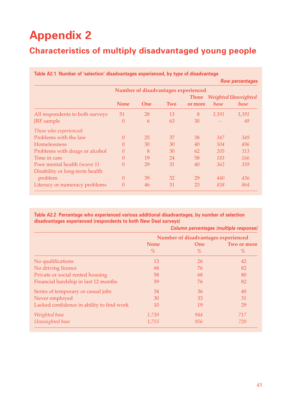# **Appendix 2**

### **Characteristics of multiply disadvantaged young people**

|                                 |             |            |     |                                     |       | <b>Row percentages</b> |
|---------------------------------|-------------|------------|-----|-------------------------------------|-------|------------------------|
|                                 |             |            |     | Number of disadvantages experienced |       |                        |
|                                 |             |            |     | <b>Three</b>                        |       | Weighted Unweighted    |
|                                 | <b>None</b> | <b>One</b> | Two | or more                             | base  | base                   |
| All respondents to both surveys | 51          | 28         | 13  | 8                                   | 3,391 | 3,391                  |
| <b>JRF</b> sample               | $\theta$    | 6          | 63  | 30                                  |       | 49                     |
| Those who experienced:          |             |            |     |                                     |       |                        |
| Problems with the law           | $\theta$    | 25         | 37  | 38                                  | 347   | 349                    |
| <b>Homelessness</b>             | $\Omega$    | 30         | 30  | 40                                  | 504   | 496                    |
| Problems with drugs or alcohol  | 0           | 8          | 30  | 62                                  | 205   | 113                    |
| Time in care                    | 0           | 19         | 24  | 58                                  | 183   | 166                    |
| Poor mental health (wave 1)     | $\Omega$    | 29         | 31  | 40                                  | 362   | 359                    |
| Disability or long-term health  |             |            |     |                                     |       |                        |
| problem                         | $\theta$    | 39         | 32  | 29                                  | 440   | 436                    |
| Literacy or numeracy problems   | $\theta$    | 46         | 31  | 23                                  | 838   | 864                    |

# **Table A2.1 Number of 'selection' disadvantages experienced, by type of disadvantage**

#### **Table A2.2 Percentage who experienced various additional disadvantages, by number of selection disadvantages experienced (respondents to both New Deal surveys)**

|                                           | Column percentages (multiple response) |      |             |  |  |
|-------------------------------------------|----------------------------------------|------|-------------|--|--|
|                                           | Number of disadvantages experienced    |      |             |  |  |
|                                           | <b>None</b>                            | One  | Two or more |  |  |
|                                           | $\%$                                   | $\%$ | $\%$        |  |  |
| No qualifications                         | 13                                     | 26   | 42          |  |  |
| No driving licence                        | 68                                     | 76   | 82          |  |  |
| Private or social rented housing          | 58                                     | 68   | 80          |  |  |
| Financial hardship in last 12 months      | 59                                     | 76   | 82          |  |  |
| Series of temporary or casual jobs        | 34                                     | 36   | 40          |  |  |
| Never employed                            | 30                                     | 33   | 31          |  |  |
| Lacked confidence in ability to find work | 10                                     | 19   | 29          |  |  |
| Weighted base                             | 1,730                                  | 944  | 717         |  |  |
| Unweighted base                           | 1,715                                  | 956  | 720         |  |  |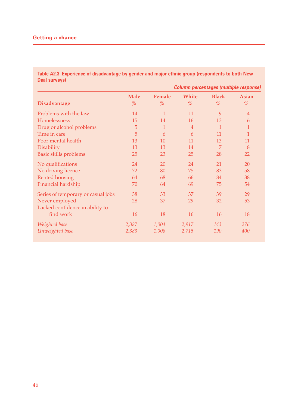**Table A2.3 Experience of disadvantage by gender and major ethnic group (respondents to both New Deal surveys)**

| Column percentages (multiple response) |  |  |
|----------------------------------------|--|--|
|                                        |  |  |

|                                    | <b>Male</b> | Female       | White          | <b>Black</b> | <b>Asian</b>   |
|------------------------------------|-------------|--------------|----------------|--------------|----------------|
| <b>Disadvantage</b>                | %           | %            | %              | %            | %              |
| Problems with the law              | 14          | $\mathbf{1}$ | 11             | 9            | $\overline{4}$ |
| Homelessness                       | 15          | 14           | 16             | 13           | 6              |
| Drug or alcohol problems           | 5           | 1            | $\overline{4}$ | $\mathbf{1}$ | 1              |
| Time in care                       | 5           | 6            | 6              | 11           | 1              |
| Poor mental health                 | 13          | 10           | 11             | 13           | 11             |
| Disability                         | 13          | 13           | 14             | 7            | 8              |
| Basic skills problems              | 25          | 23           | 25             | 28           | 22             |
| No qualifications                  | 24          | 20           | 24             | 21           | 20             |
| No driving licence                 | 72          | 80           | 75             | 83           | 58             |
| Rented housing                     | 64          | 68           | 66             | 84           | 38             |
| Financial hardship                 | 70          | 64           | 69             | 75           | 54             |
| Series of temporary or casual jobs | 38          | 33           | 37             | 39           | 29             |
| Never employed                     | 28          | 37           | 29             | 32           | 53             |
| Lacked confidence in ability to    |             |              |                |              |                |
| find work                          | 16          | 18           | 16             | 16           | 18             |
| Weighted base                      | 2,387       | 1,004        | 2,917          | 143          | 276            |
| Unweighted base                    | 2,383       | 1,008        | 2,715          | 190          | 400            |
|                                    |             |              |                |              |                |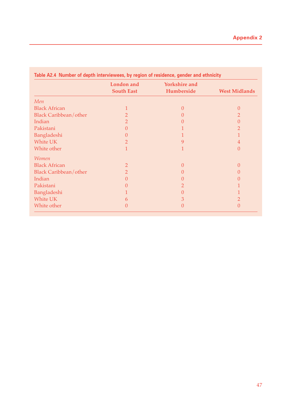|                              | <b>London</b> and<br><b>South East</b> | <b>Yorkshire and</b><br>Humberside | <b>West Midlands</b> |
|------------------------------|----------------------------------------|------------------------------------|----------------------|
|                              |                                        |                                    |                      |
| Men                          |                                        |                                    |                      |
| <b>Black African</b>         |                                        | 0                                  | 0                    |
| <b>Black Caribbean/other</b> | $\overline{2}$                         | $\cup$                             | 2                    |
| Indian                       | $\overline{2}$                         |                                    | $\left( \right)$     |
| Pakistani                    | $\Omega$                               |                                    |                      |
| Bangladeshi                  | 0                                      |                                    |                      |
| White UK                     | 2                                      | 9                                  | 4                    |
| White other                  | 1                                      |                                    | $\Omega$             |
| <i>Women</i>                 |                                        |                                    |                      |
| <b>Black African</b>         | $\overline{2}$                         | 0                                  | $\theta$             |
| <b>Black Caribbean/other</b> | $\overline{2}$                         | $\cup$                             | 0                    |
| Indian                       | 0                                      |                                    |                      |
| Pakistani                    | 0                                      |                                    |                      |
| Bangladeshi                  |                                        |                                    |                      |
| White UK                     | 6                                      | З                                  | 2                    |
| White other                  | 0                                      | $\left( \right)$                   | $\Omega$             |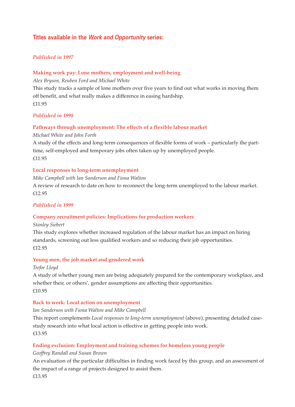### **Titles available in the Work and Opportunity series:**

#### *Published in 1997*

#### **Making work pay: Lone mothers, employment and well-being**

*Alex Bryson, Reuben Ford and Michael White*

This study tracks a sample of lone mothers over five years to find out what works in moving them off benefit, and what really makes a difference in easing hardship. £11.95

#### *Published in 1998*

#### **Pathways through unemployment: The effects of a flexible labour market**

*Michael White and John Forth*

A study of the effects and long-term consequences of flexible forms of work – particularly the parttime, self-employed and temporary jobs often taken up by unemployed people. £11.95

#### **Local responses to long-term unemployment**

*Mike Campbell with Ian Sanderson and Fiona Walton*

A review of research to date on how to reconnect the long-term unemployed to the labour market. £12.95

#### *Published in 1999*

#### **Company recruitment policies: Implications for production workers**

*Stanley Siebert*

This study explores whether increased regulation of the labour market has an impact on hiring standards, screening out less qualified workers and so reducing their job opportunities. £12.95

#### **Young men, the job market and gendered work**

*Trefor Lloyd*

A study of whether young men are being adequately prepared for the contemporary workplace, and whether their, or others', gender assumptions are affecting their opportunities. £10.95

#### **Back to work: Local action on unemployment**

#### *Ian Sanderson with Fiona Walton and Mike Campbell*

This report complements *Local responses to long-term unemployment* (above), presenting detailed casestudy research into what local action is effective in getting people into work. £13.95

#### **Ending exclusion: Employment and training schemes for homeless young people**

#### *Geoffrey Randall and Susan Brown*

An evaluation of the particular difficulties in finding work faced by this group, and an assessment of the impact of a range of projects designed to assist them.

£13.95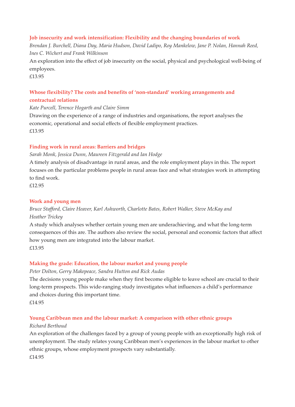#### **Job insecurity and work intensification: Flexibility and the changing boundaries of work**

*Brendan J. Burchell, Diana Day, Maria Hudson, David Ladipo, Roy Mankelow, Jane P. Nolan, Hannah Reed, Ines C. Wichert and Frank Wilkinson*

An exploration into the effect of job insecurity on the social, physical and psychological well-being of employees.

£13.95

### **Whose flexibility? The costs and benefits of 'non-standard' working arrangements and contractual relations**

*Kate Purcell, Terence Hogarth and Claire Simm*

Drawing on the experience of a range of industries and organisations, the report analyses the economic, operational and social effects of flexible employment practices. £13.95

#### **Finding work in rural areas: Barriers and bridges**

#### *Sarah Monk, Jessica Dunn, Maureen Fitzgerald and Ian Hodge*

A timely analysis of disadvantage in rural areas, and the role employment plays in this. The report focuses on the particular problems people in rural areas face and what strategies work in attempting to find work.

£12.95

#### **Work and young men**

### *Bruce Stafford, Claire Heaver, Karl Ashworth, Charlotte Bates, Robert Walker, Steve McKay and Heather Trickey*

A study which analyses whether certain young men are underachieving, and what the long-term consequences of this are. The authors also review the social, personal and economic factors that affect how young men are integrated into the labour market. £13.95

#### **Making the grade: Education, the labour market and young people**

#### *Peter Dolton, Gerry Makepeace, Sandra Hutton and Rick Audas*

The decisions young people make when they first become eligible to leave school are crucial to their long-term prospects. This wide-ranging study investigates what influences a child's performance and choices during this important time.

£14.95

#### **Young Caribbean men and the labour market: A comparison with other ethnic groups**

#### *Richard Berthoud*

An exploration of the challenges faced by a group of young people with an exceptionally high risk of unemployment. The study relates young Caribbean men's experiences in the labour market to other ethnic groups, whose employment prospects vary substantially. £14.95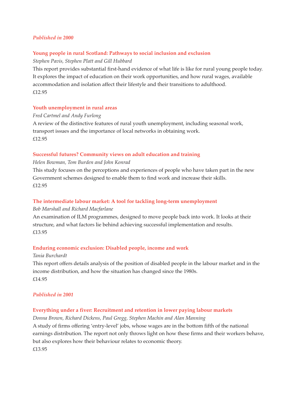#### *Published in 2000*

#### **Young people in rural Scotland: Pathways to social inclusion and exclusion**

#### *Stephen Pavis, Stephen Platt and Gill Hubbard*

This report provides substantial first-hand evidence of what life is like for rural young people today. It explores the impact of education on their work opportunities, and how rural wages, available accommodation and isolation affect their lifestyle and their transitions to adulthood. £12.95

#### **Youth unemployment in rural areas**

#### *Fred Cartmel and Andy Furlong*

A review of the distinctive features of rural youth unemployment, including seasonal work, transport issues and the importance of local networks in obtaining work. £12.95

#### **Successful futures? Community views on adult education and training**

#### *Helen Bowman, Tom Burden and John Konrad*

This study focuses on the perceptions and experiences of people who have taken part in the new Government schemes designed to enable them to find work and increase their skills. £12.95

#### **The intermediate labour market: A tool for tackling long-term unemployment**

#### *Bob Marshall and Richard Macfarlane*

An examination of ILM programmes, designed to move people back into work. It looks at their structure, and what factors lie behind achieving successful implementation and results. £13.95

#### **Enduring economic exclusion: Disabled people, income and work**

#### *Tania Burchardt*

This report offers details analysis of the position of disabled people in the labour market and in the income distribution, and how the situation has changed since the 1980s. £14.95

#### *Published in 2001*

#### **Everything under a fiver: Recruitment and retention in lower paying labour markets**

*Donna Brown, Richard Dickens, Paul Gregg, Stephen Machin and Alan Manning* A study of firms offering 'entry-level' jobs, whose wages are in the bottom fifth of the national earnings distribution. The report not only throws light on how these firms and their workers behave, but also explores how their behaviour relates to economic theory.

£13.95